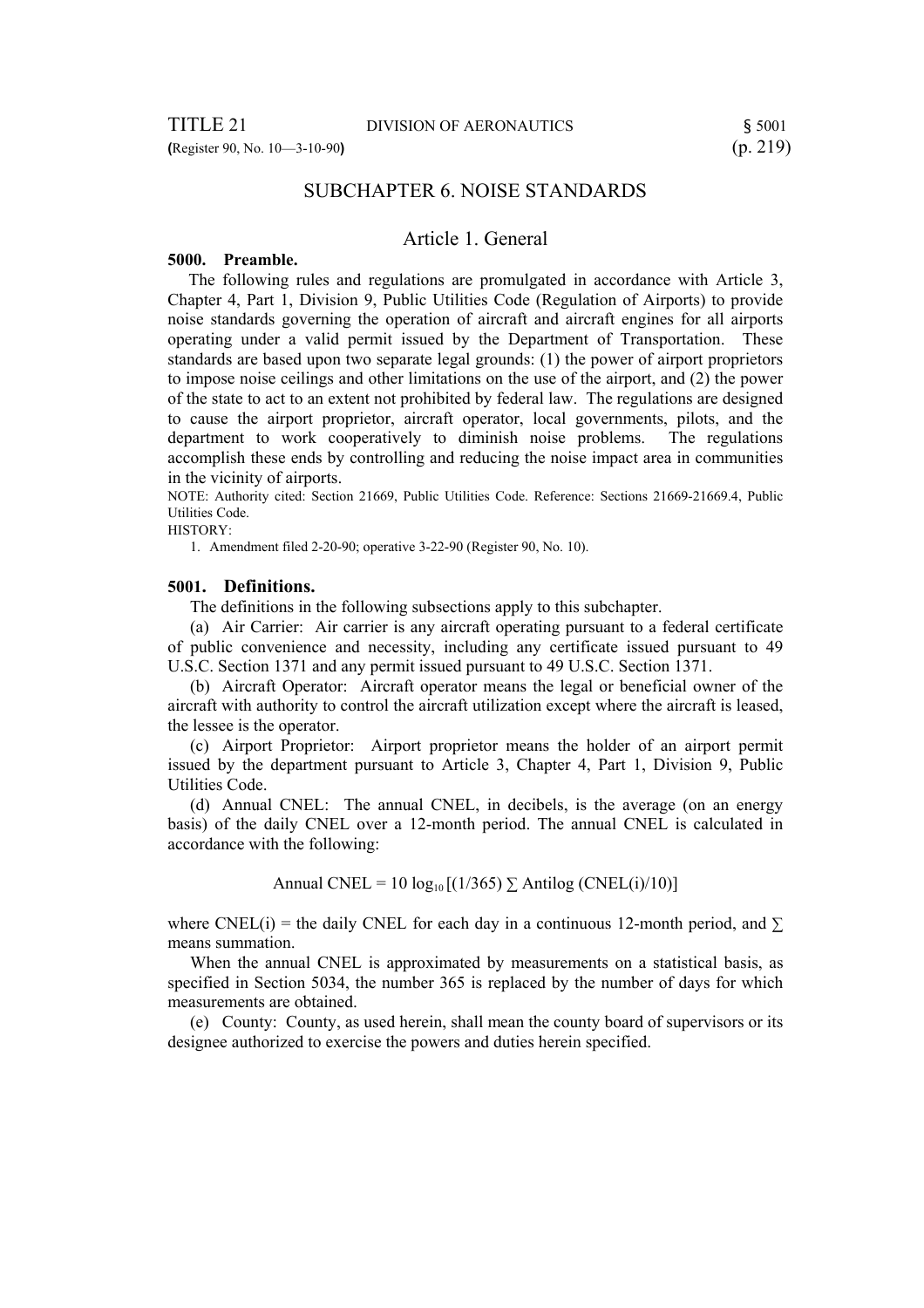# SUBCHAPTER 6. NOISE STANDARDS

# Article 1. General

#### **5000. Preamble.**

 The following rules and regulations are promulgated in accordance with Article 3, Chapter 4, Part 1, Division 9, Public Utilities Code (Regulation of Airports) to provide noise standards governing the operation of aircraft and aircraft engines for all airports operating under a valid permit issued by the Department of Transportation. These standards are based upon two separate legal grounds: (1) the power of airport proprietors to impose noise ceilings and other limitations on the use of the airport, and (2) the power of the state to act to an extent not prohibited by federal law. The regulations are designed to cause the airport proprietor, aircraft operator, local governments, pilots, and the department to work cooperatively to diminish noise problems. The regulations accomplish these ends by controlling and reducing the noise impact area in communities in the vicinity of airports.

NOTE: Authority cited: Section 21669, Public Utilities Code. Reference: Sections 21669-21669.4, Public Utilities Code.

HISTORY:

1. Amendment filed 2-20-90; operative 3-22-90 (Register 90, No. 10).

#### **5001. Definitions.**

The definitions in the following subsections apply to this subchapter.

(a) Air Carrier: Air carrier is any aircraft operating pursuant to a federal certificate of public convenience and necessity, including any certificate issued pursuant to 49 U.S.C. Section 1371 and any permit issued pursuant to 49 U.S.C. Section 1371.

(b) Aircraft Operator: Aircraft operator means the legal or beneficial owner of the aircraft with authority to control the aircraft utilization except where the aircraft is leased, the lessee is the operator.

(c) Airport Proprietor: Airport proprietor means the holder of an airport permit issued by the department pursuant to Article 3, Chapter 4, Part 1, Division 9, Public Utilities Code.

(d) Annual CNEL: The annual CNEL, in decibels, is the average (on an energy basis) of the daily CNEL over a 12-month period. The annual CNEL is calculated in accordance with the following:

Annual CNEL = 10  $log_{10}$  [(1/365)  $\Sigma$  Antilog (CNEL(i)/10)]

where CNEL(i) = the daily CNEL for each day in a continuous 12-month period, and  $\Sigma$ means summation.

When the annual CNEL is approximated by measurements on a statistical basis, as specified in Section 5034, the number 365 is replaced by the number of days for which measurements are obtained.

(e) County: County, as used herein, shall mean the county board of supervisors or its designee authorized to exercise the powers and duties herein specified.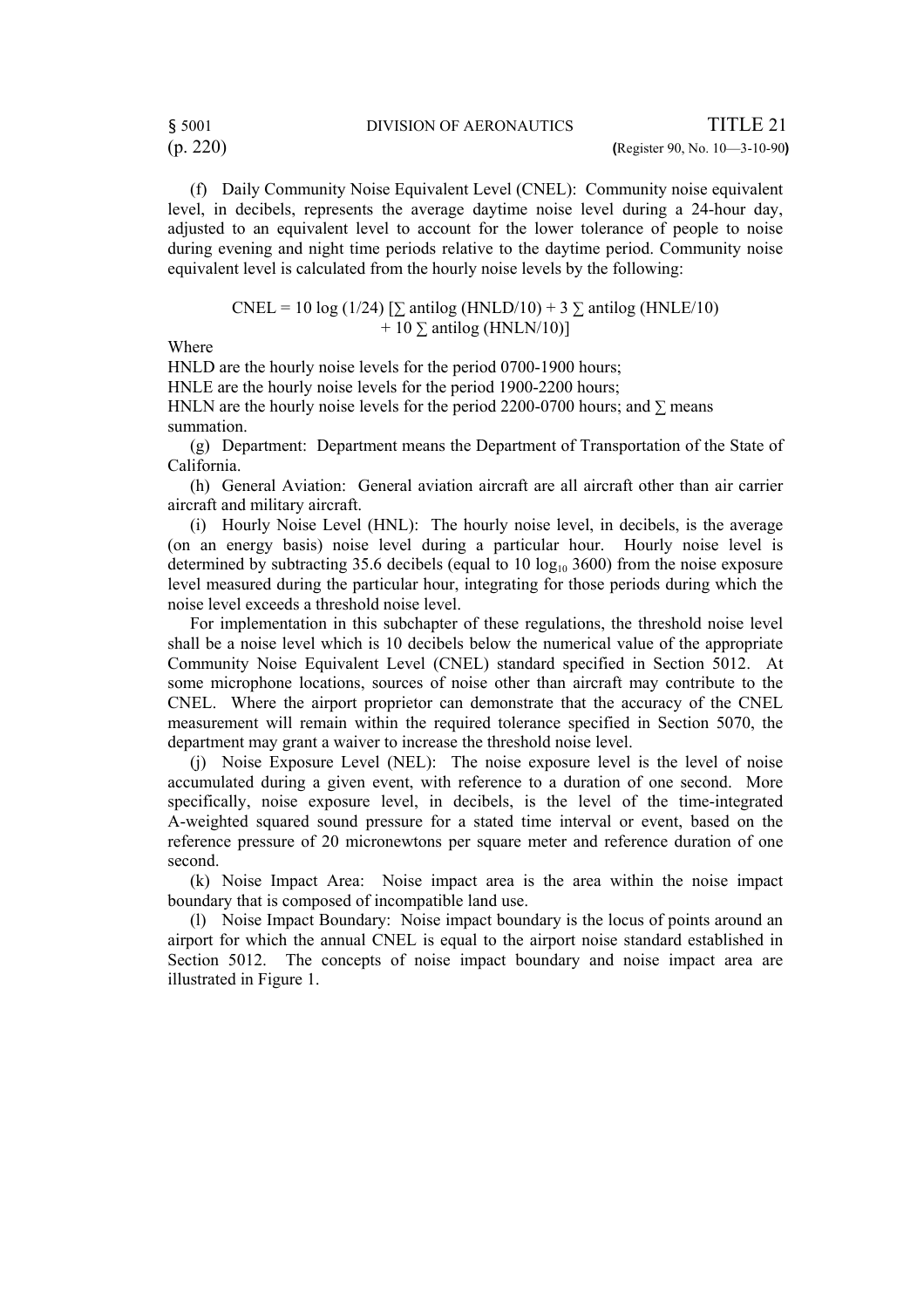(f) Daily Community Noise Equivalent Level (CNEL): Community noise equivalent level, in decibels, represents the average daytime noise level during a 24-hour day, adjusted to an equivalent level to account for the lower tolerance of people to noise during evening and night time periods relative to the daytime period. Community noise equivalent level is calculated from the hourly noise levels by the following:

CNEL = 10 log (1/24) [
$$
\sum
$$
 antilog (HNLD/10) + 3  $\sum$  antilog (HNLE/10)  
+ 10  $\sum$  antilog (HNLN/10)]

Where

HNLD are the hourly noise levels for the period 0700-1900 hours; HNLE are the hourly noise levels for the period 1900-2200 hours; HNLN are the hourly noise levels for the period 2200-0700 hours; and  $\Sigma$  means summation.

(g) Department: Department means the Department of Transportation of the State of California.

(h) General Aviation: General aviation aircraft are all aircraft other than air carrier aircraft and military aircraft.

(i) Hourly Noise Level (HNL): The hourly noise level, in decibels, is the average (on an energy basis) noise level during a particular hour. Hourly noise level is determined by subtracting 35.6 decibels (equal to 10  $log_{10}$  3600) from the noise exposure level measured during the particular hour, integrating for those periods during which the noise level exceeds a threshold noise level.

For implementation in this subchapter of these regulations, the threshold noise level shall be a noise level which is 10 decibels below the numerical value of the appropriate Community Noise Equivalent Level (CNEL) standard specified in Section 5012. At some microphone locations, sources of noise other than aircraft may contribute to the CNEL. Where the airport proprietor can demonstrate that the accuracy of the CNEL measurement will remain within the required tolerance specified in Section 5070, the department may grant a waiver to increase the threshold noise level.

(j) Noise Exposure Level (NEL): The noise exposure level is the level of noise accumulated during a given event, with reference to a duration of one second. More specifically, noise exposure level, in decibels, is the level of the time-integrated A-weighted squared sound pressure for a stated time interval or event, based on the reference pressure of 20 micronewtons per square meter and reference duration of one second.

(k) Noise Impact Area: Noise impact area is the area within the noise impact boundary that is composed of incompatible land use.

(l) Noise Impact Boundary: Noise impact boundary is the locus of points around an airport for which the annual CNEL is equal to the airport noise standard established in Section 5012. The concepts of noise impact boundary and noise impact area are illustrated in Figure 1.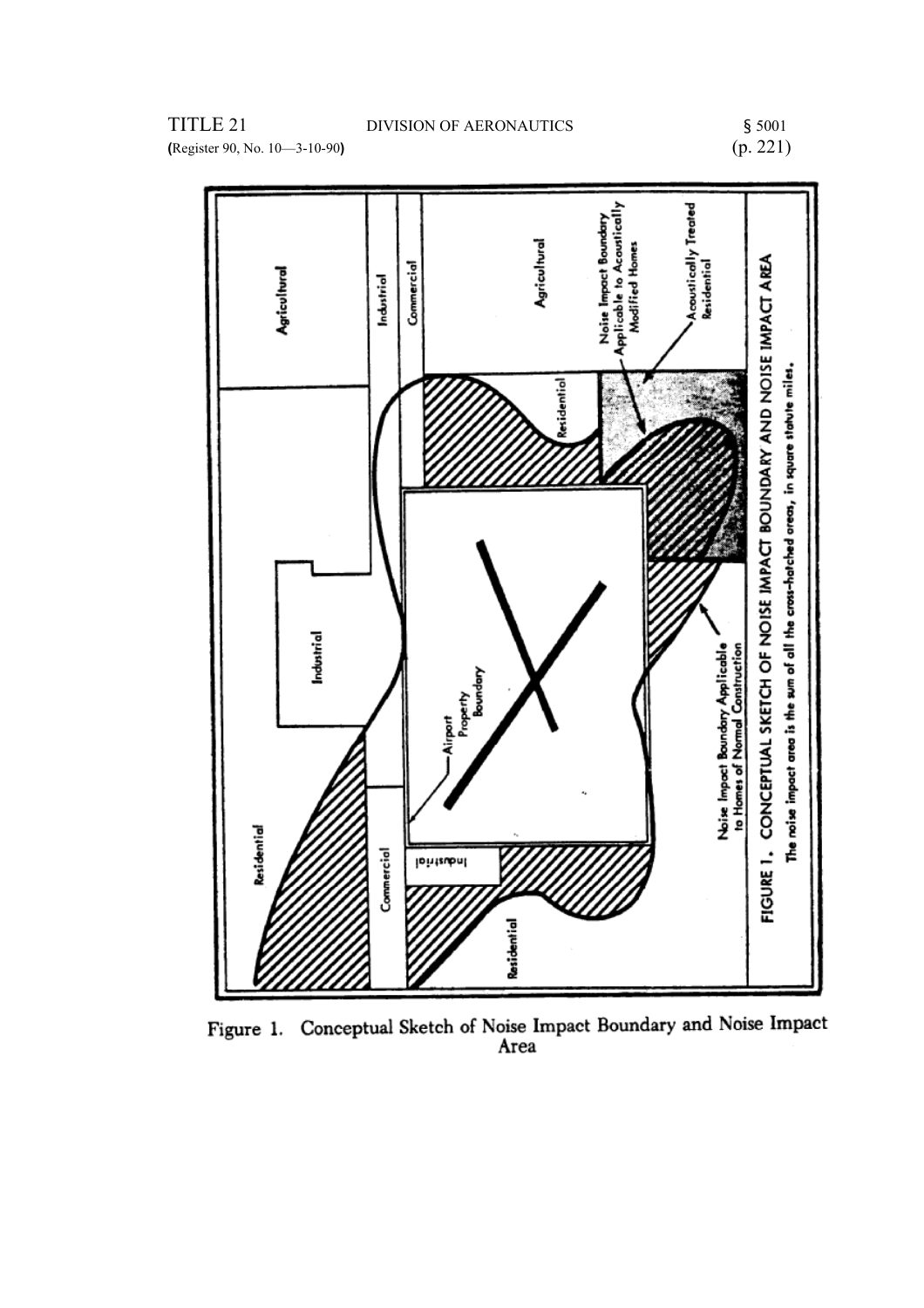# $$5001$ <br>(p. 221)



Figure 1. Conceptual Sketch of Noise Impact Boundary and Noise Impact Area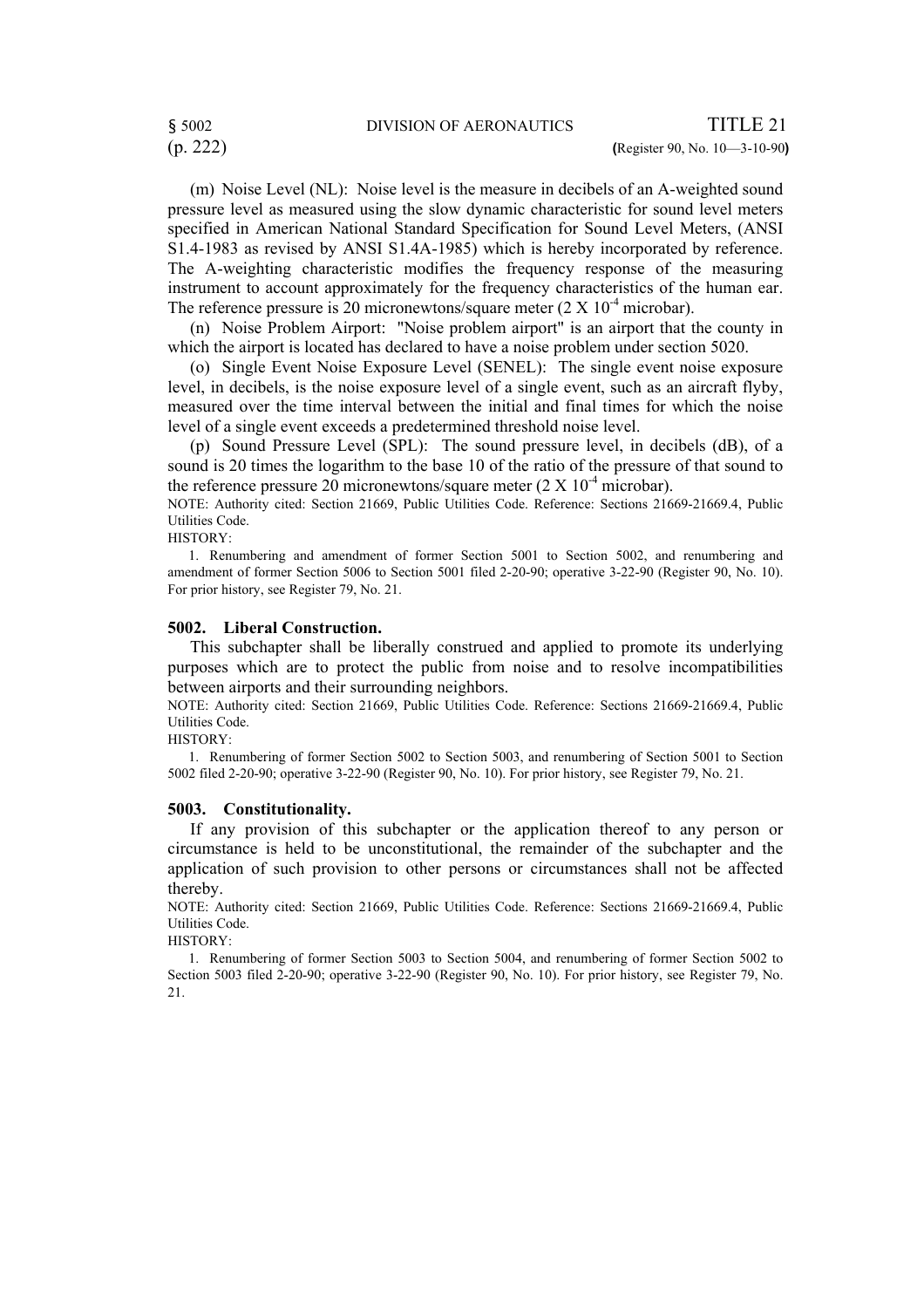(m) Noise Level (NL): Noise level is the measure in decibels of an A-weighted sound pressure level as measured using the slow dynamic characteristic for sound level meters specified in American National Standard Specification for Sound Level Meters, (ANSI S1.4-1983 as revised by ANSI S1.4A-1985) which is hereby incorporated by reference. The A-weighting characteristic modifies the frequency response of the measuring instrument to account approximately for the frequency characteristics of the human ear. The reference pressure is 20 micronewtons/square meter  $(2 \times 10^{-4} \text{ microbar})$ .

(n) Noise Problem Airport: "Noise problem airport" is an airport that the county in which the airport is located has declared to have a noise problem under section 5020.

(o) Single Event Noise Exposure Level (SENEL): The single event noise exposure level, in decibels, is the noise exposure level of a single event, such as an aircraft flyby, measured over the time interval between the initial and final times for which the noise level of a single event exceeds a predetermined threshold noise level.

(p) Sound Pressure Level (SPL): The sound pressure level, in decibels (dB), of a sound is 20 times the logarithm to the base 10 of the ratio of the pressure of that sound to the reference pressure 20 micronewtons/square meter  $(2 \times 10^{-4} \text{ microbar})$ .

NOTE: Authority cited: Section 21669, Public Utilities Code. Reference: Sections 21669-21669.4, Public Utilities Code.

HISTORY:

 1. Renumbering and amendment of former Section 5001 to Section 5002, and renumbering and amendment of former Section 5006 to Section 5001 filed 2-20-90; operative 3-22-90 (Register 90, No. 10). For prior history, see Register 79, No. 21.

#### **5002. Liberal Construction.**

This subchapter shall be liberally construed and applied to promote its underlying purposes which are to protect the public from noise and to resolve incompatibilities between airports and their surrounding neighbors.

NOTE: Authority cited: Section 21669, Public Utilities Code. Reference: Sections 21669-21669.4, Public Utilities Code.

HISTORY:

 1. Renumbering of former Section 5002 to Section 5003, and renumbering of Section 5001 to Section 5002 filed 2-20-90; operative 3-22-90 (Register 90, No. 10). For prior history, see Register 79, No. 21.

#### **5003. Constitutionality.**

If any provision of this subchapter or the application thereof to any person or circumstance is held to be unconstitutional, the remainder of the subchapter and the application of such provision to other persons or circumstances shall not be affected thereby.

NOTE: Authority cited: Section 21669, Public Utilities Code. Reference: Sections 21669-21669.4, Public Utilities Code.

HISTORY:

 1. Renumbering of former Section 5003 to Section 5004, and renumbering of former Section 5002 to Section 5003 filed 2-20-90; operative 3-22-90 (Register 90, No. 10). For prior history, see Register 79, No. 21.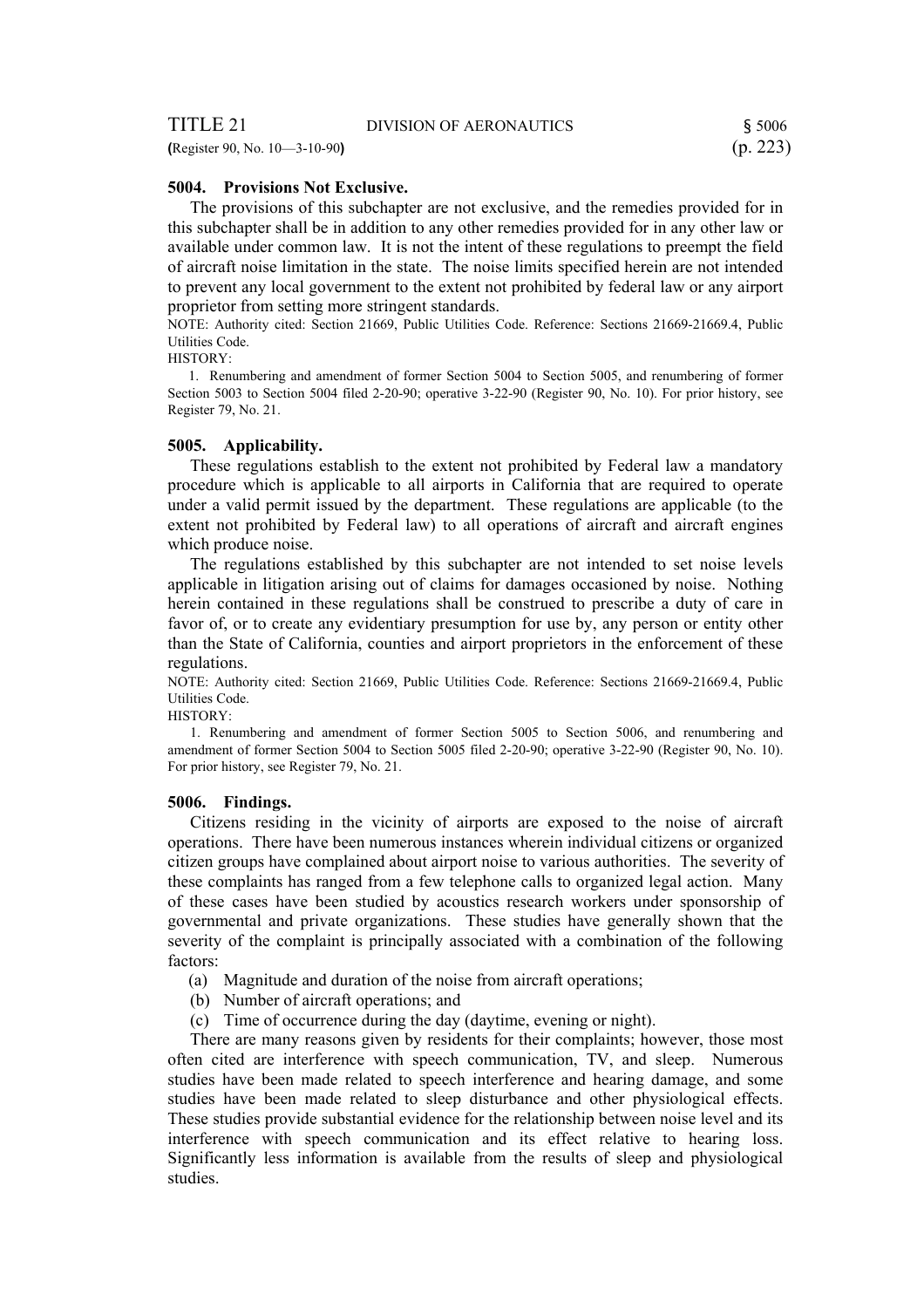#### **5004. Provisions Not Exclusive.**

The provisions of this subchapter are not exclusive, and the remedies provided for in this subchapter shall be in addition to any other remedies provided for in any other law or available under common law. It is not the intent of these regulations to preempt the field of aircraft noise limitation in the state. The noise limits specified herein are not intended to prevent any local government to the extent not prohibited by federal law or any airport proprietor from setting more stringent standards.

NOTE: Authority cited: Section 21669, Public Utilities Code. Reference: Sections 21669-21669.4, Public Utilities Code.

HISTORY:

 1. Renumbering and amendment of former Section 5004 to Section 5005, and renumbering of former Section 5003 to Section 5004 filed 2-20-90; operative 3-22-90 (Register 90, No. 10). For prior history, see Register 79, No. 21.

#### **5005. Applicability.**

These regulations establish to the extent not prohibited by Federal law a mandatory procedure which is applicable to all airports in California that are required to operate under a valid permit issued by the department. These regulations are applicable (to the extent not prohibited by Federal law) to all operations of aircraft and aircraft engines which produce noise.

The regulations established by this subchapter are not intended to set noise levels applicable in litigation arising out of claims for damages occasioned by noise. Nothing herein contained in these regulations shall be construed to prescribe a duty of care in favor of, or to create any evidentiary presumption for use by, any person or entity other than the State of California, counties and airport proprietors in the enforcement of these regulations.

NOTE: Authority cited: Section 21669, Public Utilities Code. Reference: Sections 21669-21669.4, Public Utilities Code.

HISTORY:

1. Renumbering and amendment of former Section 5005 to Section 5006, and renumbering and amendment of former Section 5004 to Section 5005 filed 2-20-90; operative 3-22-90 (Register 90, No. 10). For prior history, see Register 79, No. 21.

#### **5006. Findings.**

Citizens residing in the vicinity of airports are exposed to the noise of aircraft operations. There have been numerous instances wherein individual citizens or organized citizen groups have complained about airport noise to various authorities. The severity of these complaints has ranged from a few telephone calls to organized legal action. Many of these cases have been studied by acoustics research workers under sponsorship of governmental and private organizations. These studies have generally shown that the severity of the complaint is principally associated with a combination of the following factors:

- (a) Magnitude and duration of the noise from aircraft operations;
- (b) Number of aircraft operations; and
- (c) Time of occurrence during the day (daytime, evening or night).

There are many reasons given by residents for their complaints; however, those most often cited are interference with speech communication, TV, and sleep. Numerous studies have been made related to speech interference and hearing damage, and some studies have been made related to sleep disturbance and other physiological effects. These studies provide substantial evidence for the relationship between noise level and its interference with speech communication and its effect relative to hearing loss. Significantly less information is available from the results of sleep and physiological studies.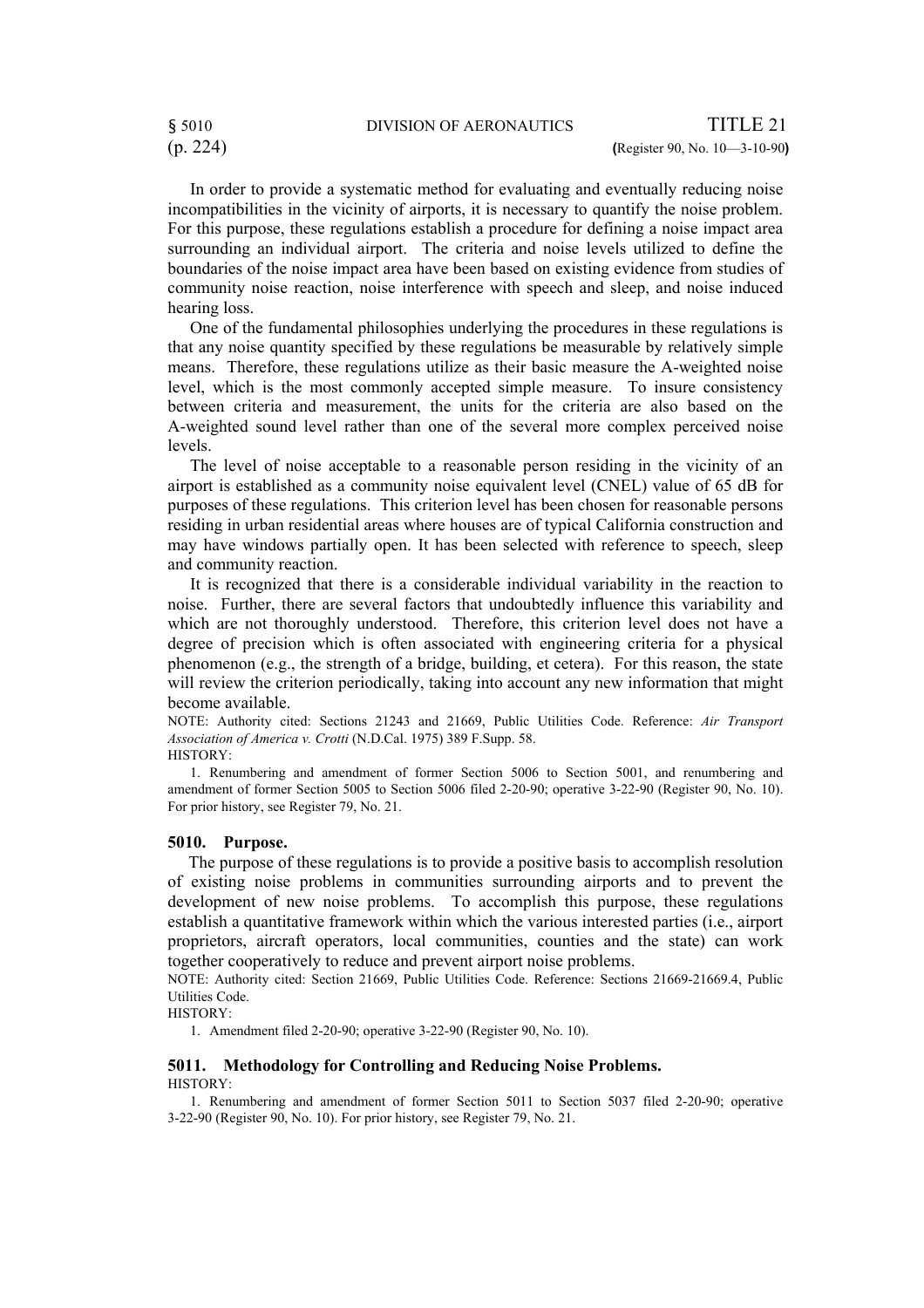In order to provide a systematic method for evaluating and eventually reducing noise incompatibilities in the vicinity of airports, it is necessary to quantify the noise problem. For this purpose, these regulations establish a procedure for defining a noise impact area surrounding an individual airport. The criteria and noise levels utilized to define the boundaries of the noise impact area have been based on existing evidence from studies of community noise reaction, noise interference with speech and sleep, and noise induced hearing loss.

One of the fundamental philosophies underlying the procedures in these regulations is that any noise quantity specified by these regulations be measurable by relatively simple means. Therefore, these regulations utilize as their basic measure the A-weighted noise level, which is the most commonly accepted simple measure. To insure consistency between criteria and measurement, the units for the criteria are also based on the A-weighted sound level rather than one of the several more complex perceived noise levels.

The level of noise acceptable to a reasonable person residing in the vicinity of an airport is established as a community noise equivalent level (CNEL) value of 65 dB for purposes of these regulations. This criterion level has been chosen for reasonable persons residing in urban residential areas where houses are of typical California construction and may have windows partially open. It has been selected with reference to speech, sleep and community reaction.

It is recognized that there is a considerable individual variability in the reaction to noise. Further, there are several factors that undoubtedly influence this variability and which are not thoroughly understood. Therefore, this criterion level does not have a degree of precision which is often associated with engineering criteria for a physical phenomenon (e.g., the strength of a bridge, building, et cetera). For this reason, the state will review the criterion periodically, taking into account any new information that might become available.

NOTE: Authority cited: Sections 21243 and 21669, Public Utilities Code. Reference: *Air Transport Association of America v. Crotti* (N.D.Cal. 1975) 389 F.Supp. 58. HISTORY:

1. Renumbering and amendment of former Section 5006 to Section 5001, and renumbering and amendment of former Section 5005 to Section 5006 filed 2-20-90; operative 3-22-90 (Register 90, No. 10). For prior history, see Register 79, No. 21.

#### **5010. Purpose.**

 The purpose of these regulations is to provide a positive basis to accomplish resolution of existing noise problems in communities surrounding airports and to prevent the development of new noise problems. To accomplish this purpose, these regulations establish a quantitative framework within which the various interested parties (i.e., airport proprietors, aircraft operators, local communities, counties and the state) can work together cooperatively to reduce and prevent airport noise problems.

NOTE: Authority cited: Section 21669, Public Utilities Code. Reference: Sections 21669-21669.4, Public Utilities Code.

HISTORY:

1. Amendment filed 2-20-90; operative 3-22-90 (Register 90, No. 10).

#### **5011. Methodology for Controlling and Reducing Noise Problems.**  HISTORY:

1. Renumbering and amendment of former Section 5011 to Section 5037 filed 2-20-90; operative 3-22-90 (Register 90, No. 10). For prior history, see Register 79, No. 21.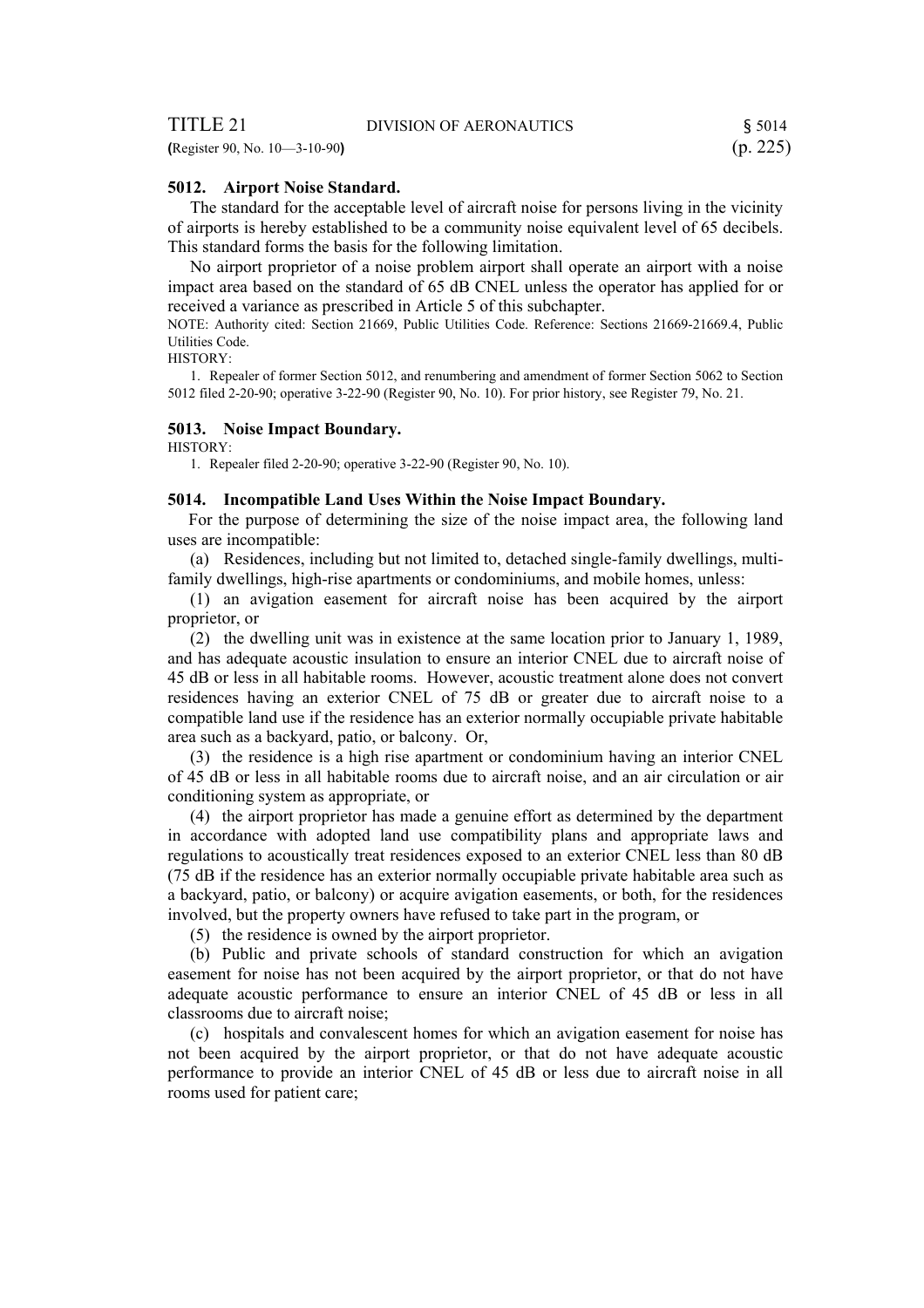**(**Register 90, No. 10—3-10-90**)** (p. 225)

#### **5012. Airport Noise Standard.**

The standard for the acceptable level of aircraft noise for persons living in the vicinity of airports is hereby established to be a community noise equivalent level of 65 decibels. This standard forms the basis for the following limitation.

No airport proprietor of a noise problem airport shall operate an airport with a noise impact area based on the standard of 65 dB CNEL unless the operator has applied for or received a variance as prescribed in Article 5 of this subchapter.

NOTE: Authority cited: Section 21669, Public Utilities Code. Reference: Sections 21669-21669.4, Public Utilities Code.

HISTORY:

1. Repealer of former Section 5012, and renumbering and amendment of former Section 5062 to Section 5012 filed 2-20-90; operative 3-22-90 (Register 90, No. 10). For prior history, see Register 79, No. 21.

#### **5013. Noise Impact Boundary.**

HISTORY:

1. Repealer filed 2-20-90; operative 3-22-90 (Register 90, No. 10).

#### **5014. Incompatible Land Uses Within the Noise Impact Boundary.**

 For the purpose of determining the size of the noise impact area, the following land uses are incompatible:

(a) Residences, including but not limited to, detached single-family dwellings, multifamily dwellings, high-rise apartments or condominiums, and mobile homes, unless:

(1) an avigation easement for aircraft noise has been acquired by the airport proprietor, or

(2) the dwelling unit was in existence at the same location prior to January 1, 1989, and has adequate acoustic insulation to ensure an interior CNEL due to aircraft noise of 45 dB or less in all habitable rooms. However, acoustic treatment alone does not convert residences having an exterior CNEL of 75 dB or greater due to aircraft noise to a compatible land use if the residence has an exterior normally occupiable private habitable area such as a backyard, patio, or balcony. Or,

(3) the residence is a high rise apartment or condominium having an interior CNEL of 45 dB or less in all habitable rooms due to aircraft noise, and an air circulation or air conditioning system as appropriate, or

(4) the airport proprietor has made a genuine effort as determined by the department in accordance with adopted land use compatibility plans and appropriate laws and regulations to acoustically treat residences exposed to an exterior CNEL less than 80 dB (75 dB if the residence has an exterior normally occupiable private habitable area such as a backyard, patio, or balcony) or acquire avigation easements, or both, for the residences involved, but the property owners have refused to take part in the program, or

(5) the residence is owned by the airport proprietor.

(b) Public and private schools of standard construction for which an avigation easement for noise has not been acquired by the airport proprietor, or that do not have adequate acoustic performance to ensure an interior CNEL of 45 dB or less in all classrooms due to aircraft noise;

(c) hospitals and convalescent homes for which an avigation easement for noise has not been acquired by the airport proprietor, or that do not have adequate acoustic performance to provide an interior CNEL of 45 dB or less due to aircraft noise in all rooms used for patient care;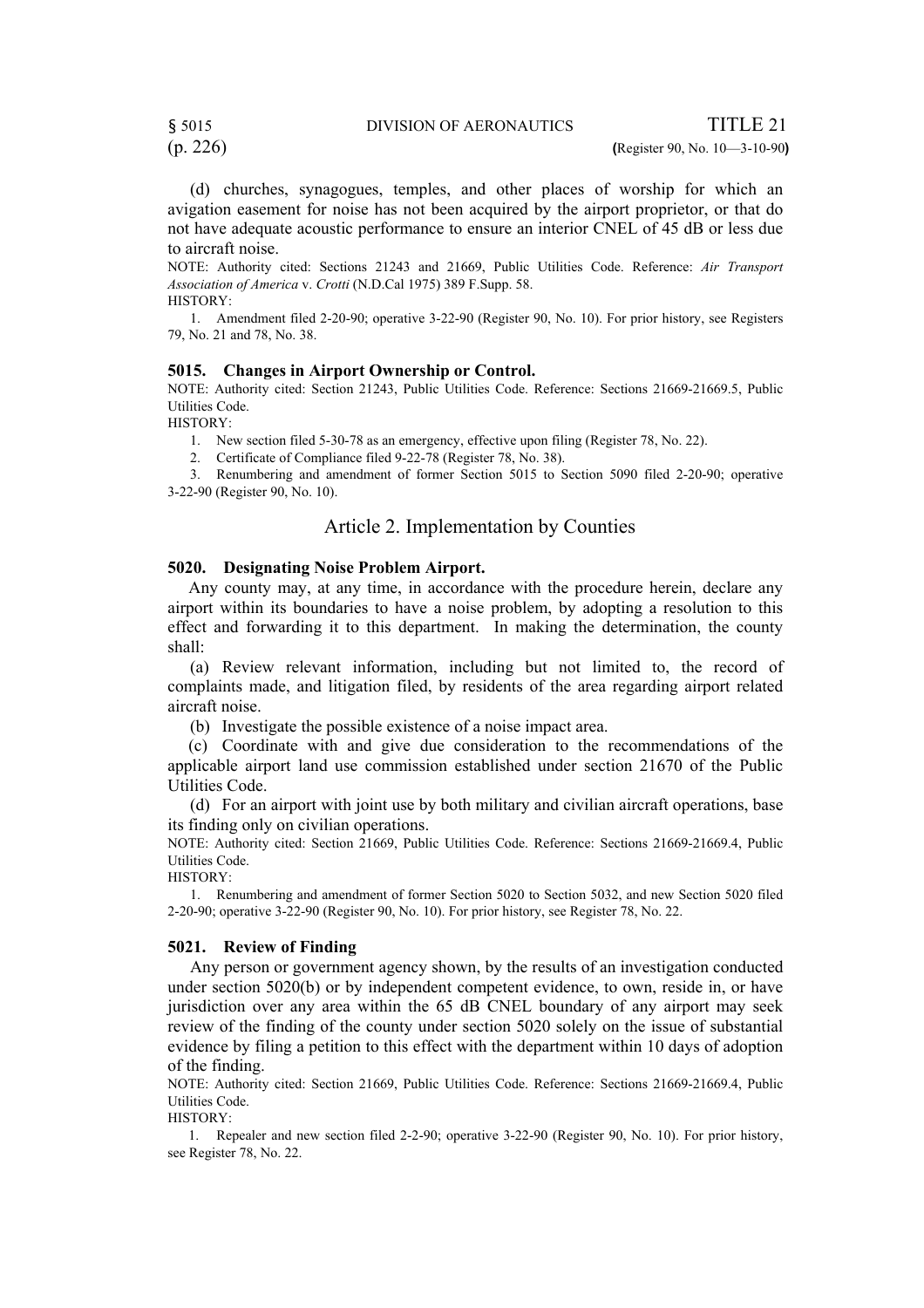(p. 226) **(**Register 90, No. 10—3-10-90**)**

(d) churches, synagogues, temples, and other places of worship for which an avigation easement for noise has not been acquired by the airport proprietor, or that do not have adequate acoustic performance to ensure an interior CNEL of 45 dB or less due to aircraft noise.

NOTE: Authority cited: Sections 21243 and 21669, Public Utilities Code. Reference: *Air Transport Association of America* v. *Crotti* (N.D.Cal 1975) 389 F.Supp. 58. HISTORY:

1. Amendment filed 2-20-90; operative 3-22-90 (Register 90, No. 10). For prior history, see Registers 79, No. 21 and 78, No. 38.

#### **5015. Changes in Airport Ownership or Control.**

NOTE: Authority cited: Section 21243, Public Utilities Code. Reference: Sections 21669-21669.5, Public Utilities Code.

HISTORY:

1. New section filed 5-30-78 as an emergency, effective upon filing (Register 78, No. 22).

2. Certificate of Compliance filed 9-22-78 (Register 78, No. 38).

3. Renumbering and amendment of former Section 5015 to Section 5090 filed 2-20-90; operative 3-22-90 (Register 90, No. 10).

# Article 2. Implementation by Counties

#### **5020. Designating Noise Problem Airport.**

 Any county may, at any time, in accordance with the procedure herein, declare any airport within its boundaries to have a noise problem, by adopting a resolution to this effect and forwarding it to this department. In making the determination, the county shall:

(a) Review relevant information, including but not limited to, the record of complaints made, and litigation filed, by residents of the area regarding airport related aircraft noise.

(b) Investigate the possible existence of a noise impact area.

(c) Coordinate with and give due consideration to the recommendations of the applicable airport land use commission established under section 21670 of the Public Utilities Code.

(d) For an airport with joint use by both military and civilian aircraft operations, base its finding only on civilian operations.

NOTE: Authority cited: Section 21669, Public Utilities Code. Reference: Sections 21669-21669.4, Public Utilities Code. HISTORY:

1. Renumbering and amendment of former Section 5020 to Section 5032, and new Section 5020 filed 2-20-90; operative 3-22-90 (Register 90, No. 10). For prior history, see Register 78, No. 22.

#### **5021. Review of Finding**

Any person or government agency shown, by the results of an investigation conducted under section 5020(b) or by independent competent evidence, to own, reside in, or have jurisdiction over any area within the 65 dB CNEL boundary of any airport may seek review of the finding of the county under section 5020 solely on the issue of substantial evidence by filing a petition to this effect with the department within 10 days of adoption of the finding.

NOTE: Authority cited: Section 21669, Public Utilities Code. Reference: Sections 21669-21669.4, Public Utilities Code.

HISTORY:

1. Repealer and new section filed 2-2-90; operative 3-22-90 (Register 90, No. 10). For prior history, see Register 78, No. 22.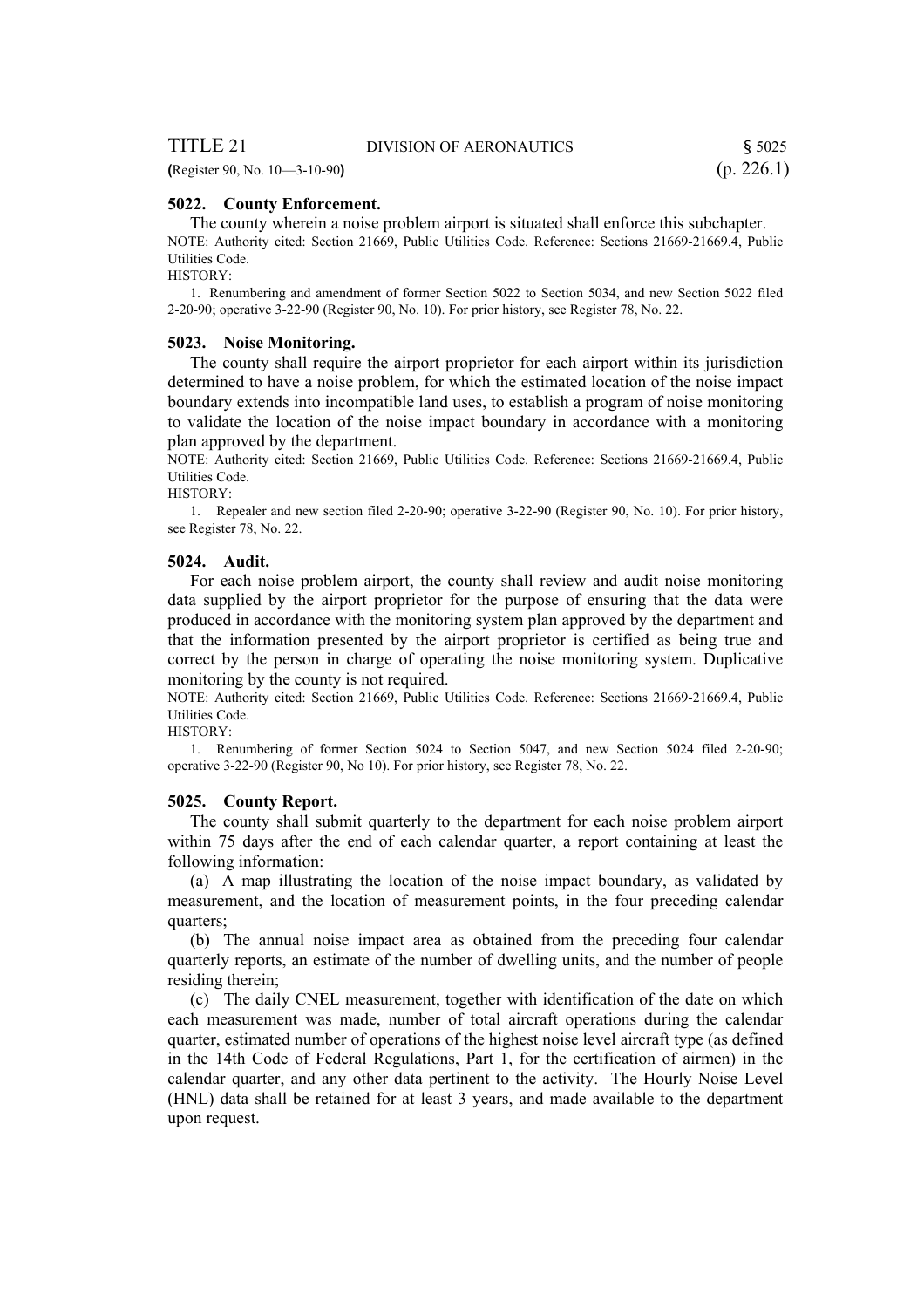**(**Register 90, No. 10—3-10-90**)** (p. 226.1)

### **5022. County Enforcement.**

The county wherein a noise problem airport is situated shall enforce this subchapter. NOTE: Authority cited: Section 21669, Public Utilities Code. Reference: Sections 21669-21669.4, Public Utilities Code.

HISTORY:

1. Renumbering and amendment of former Section 5022 to Section 5034, and new Section 5022 filed 2-20-90; operative 3-22-90 (Register 90, No. 10). For prior history, see Register 78, No. 22.

#### **5023. Noise Monitoring.**

The county shall require the airport proprietor for each airport within its jurisdiction determined to have a noise problem, for which the estimated location of the noise impact boundary extends into incompatible land uses, to establish a program of noise monitoring to validate the location of the noise impact boundary in accordance with a monitoring plan approved by the department.

NOTE: Authority cited: Section 21669, Public Utilities Code. Reference: Sections 21669-21669.4, Public Utilities Code.

HISTORY:

1. Repealer and new section filed 2-20-90; operative 3-22-90 (Register 90, No. 10). For prior history, see Register 78, No. 22.

#### **5024. Audit.**

For each noise problem airport, the county shall review and audit noise monitoring data supplied by the airport proprietor for the purpose of ensuring that the data were produced in accordance with the monitoring system plan approved by the department and that the information presented by the airport proprietor is certified as being true and correct by the person in charge of operating the noise monitoring system. Duplicative monitoring by the county is not required.

NOTE: Authority cited: Section 21669, Public Utilities Code. Reference: Sections 21669-21669.4, Public Utilities Code.

HISTORY:

1. Renumbering of former Section 5024 to Section 5047, and new Section 5024 filed 2-20-90; operative 3-22-90 (Register 90, No 10). For prior history, see Register 78, No. 22.

### **5025. County Report.**

The county shall submit quarterly to the department for each noise problem airport within 75 days after the end of each calendar quarter, a report containing at least the following information:

(a) A map illustrating the location of the noise impact boundary, as validated by measurement, and the location of measurement points, in the four preceding calendar quarters;

(b) The annual noise impact area as obtained from the preceding four calendar quarterly reports, an estimate of the number of dwelling units, and the number of people residing therein;

(c) The daily CNEL measurement, together with identification of the date on which each measurement was made, number of total aircraft operations during the calendar quarter, estimated number of operations of the highest noise level aircraft type (as defined in the 14th Code of Federal Regulations, Part 1, for the certification of airmen) in the calendar quarter, and any other data pertinent to the activity. The Hourly Noise Level (HNL) data shall be retained for at least 3 years, and made available to the department upon request.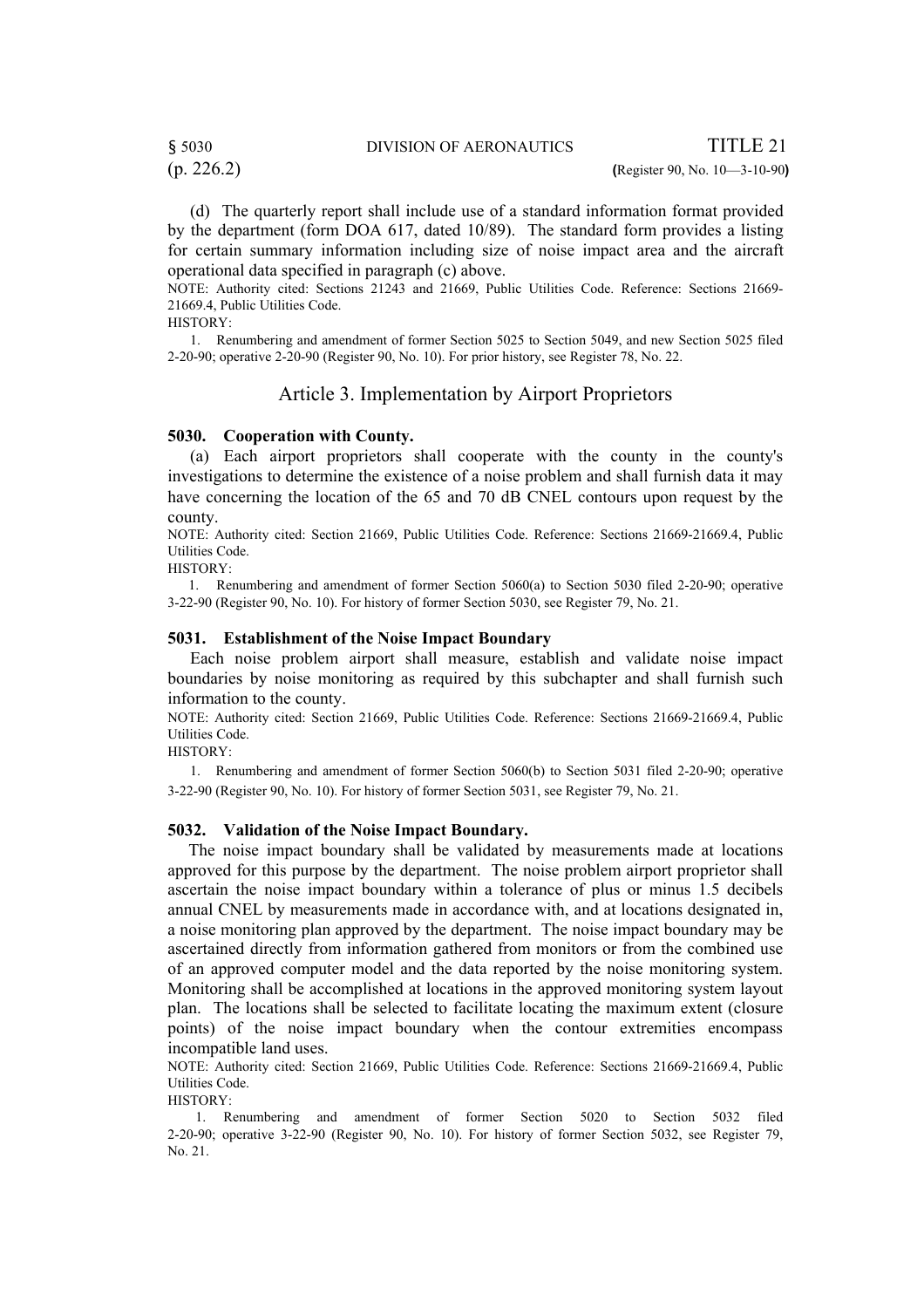# § 5030 DIVISION OF AERONAUTICS TITLE 21

(d) The quarterly report shall include use of a standard information format provided by the department (form DOA 617, dated 10/89). The standard form provides a listing for certain summary information including size of noise impact area and the aircraft operational data specified in paragraph (c) above.

NOTE: Authority cited: Sections 21243 and 21669, Public Utilities Code. Reference: Sections 21669- 21669.4, Public Utilities Code.

HISTORY:

1. Renumbering and amendment of former Section 5025 to Section 5049, and new Section 5025 filed 2-20-90; operative 2-20-90 (Register 90, No. 10). For prior history, see Register 78, No. 22.

# Article 3. Implementation by Airport Proprietors

# **5030. Cooperation with County.**

(a) Each airport proprietors shall cooperate with the county in the county's investigations to determine the existence of a noise problem and shall furnish data it may have concerning the location of the 65 and 70 dB CNEL contours upon request by the county.

NOTE: Authority cited: Section 21669, Public Utilities Code. Reference: Sections 21669-21669.4, Public Utilities Code.

HISTORY:

 1. Renumbering and amendment of former Section 5060(a) to Section 5030 filed 2-20-90; operative 3-22-90 (Register 90, No. 10). For history of former Section 5030, see Register 79, No. 21.

#### **5031. Establishment of the Noise Impact Boundary**

Each noise problem airport shall measure, establish and validate noise impact boundaries by noise monitoring as required by this subchapter and shall furnish such information to the county.

NOTE: Authority cited: Section 21669, Public Utilities Code. Reference: Sections 21669-21669.4, Public Utilities Code.

HISTORY:

1. Renumbering and amendment of former Section 5060(b) to Section 5031 filed 2-20-90; operative 3-22-90 (Register 90, No. 10). For history of former Section 5031, see Register 79, No. 21.

### **5032. Validation of the Noise Impact Boundary.**

 The noise impact boundary shall be validated by measurements made at locations approved for this purpose by the department. The noise problem airport proprietor shall ascertain the noise impact boundary within a tolerance of plus or minus 1.5 decibels annual CNEL by measurements made in accordance with, and at locations designated in, a noise monitoring plan approved by the department. The noise impact boundary may be ascertained directly from information gathered from monitors or from the combined use of an approved computer model and the data reported by the noise monitoring system. Monitoring shall be accomplished at locations in the approved monitoring system layout plan. The locations shall be selected to facilitate locating the maximum extent (closure points) of the noise impact boundary when the contour extremities encompass incompatible land uses.

NOTE: Authority cited: Section 21669, Public Utilities Code. Reference: Sections 21669-21669.4, Public Utilities Code.

HISTORY:

1. Renumbering and amendment of former Section 5020 to Section 5032 filed 2-20-90; operative 3-22-90 (Register 90, No. 10). For history of former Section 5032, see Register 79, No. 21.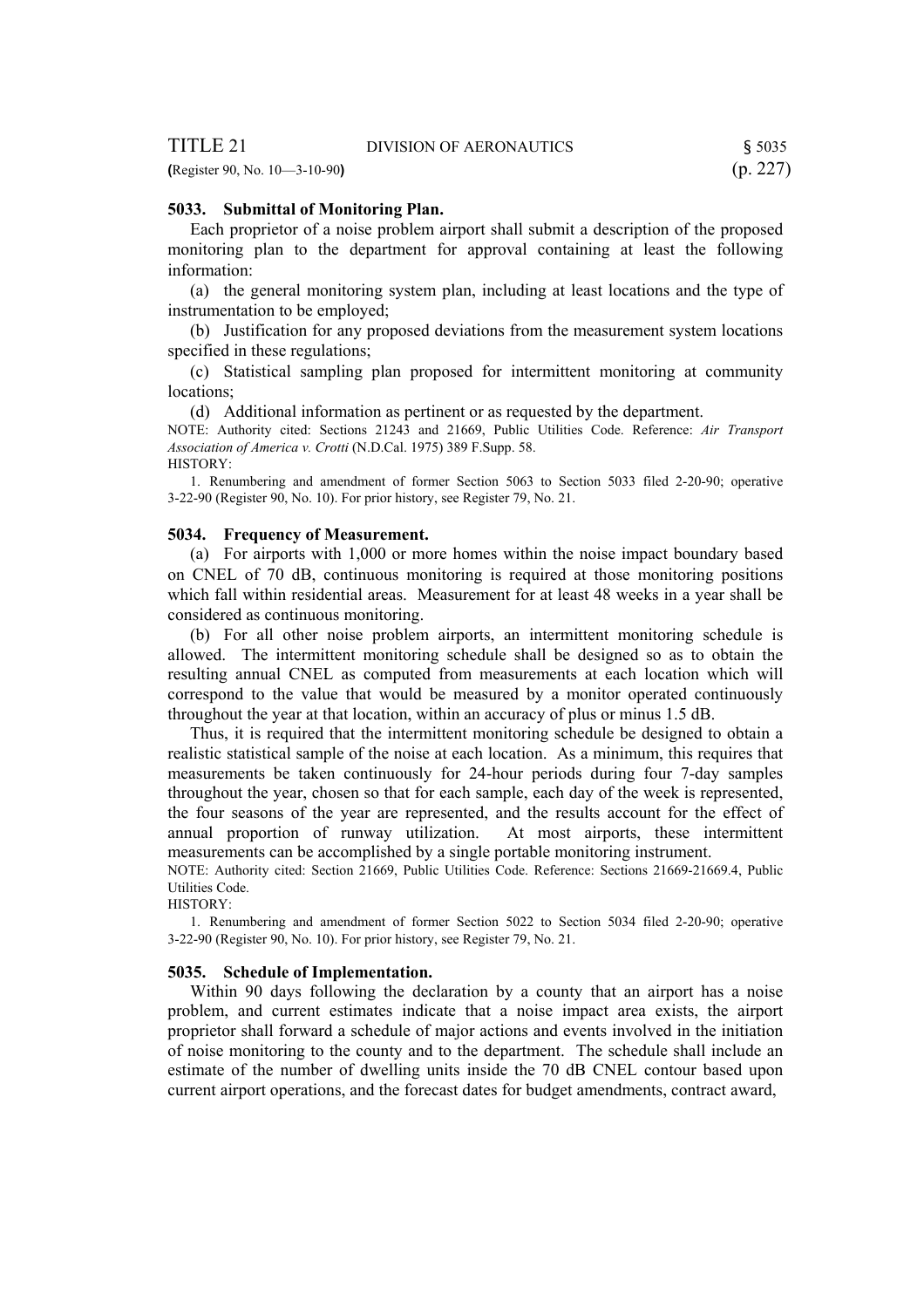| TITLE 21                         | DIVISION OF AERONAUTICS | 5035     |
|----------------------------------|-------------------------|----------|
| (Register 90, No. $10-3-10-90$ ) |                         | (p. 227) |

### **5033. Submittal of Monitoring Plan.**

Each proprietor of a noise problem airport shall submit a description of the proposed monitoring plan to the department for approval containing at least the following information:

(a) the general monitoring system plan, including at least locations and the type of instrumentation to be employed;

(b) Justification for any proposed deviations from the measurement system locations specified in these regulations;

(c) Statistical sampling plan proposed for intermittent monitoring at community locations;

(d) Additional information as pertinent or as requested by the department.

NOTE: Authority cited: Sections 21243 and 21669, Public Utilities Code. Reference: *Air Transport Association of America v. Crotti* (N.D.Cal. 1975) 389 F.Supp. 58. HISTORY:

1. Renumbering and amendment of former Section 5063 to Section 5033 filed 2-20-90; operative 3-22-90 (Register 90, No. 10). For prior history, see Register 79, No. 21.

#### **5034. Frequency of Measurement.**

(a) For airports with 1,000 or more homes within the noise impact boundary based on CNEL of 70 dB, continuous monitoring is required at those monitoring positions which fall within residential areas. Measurement for at least 48 weeks in a year shall be considered as continuous monitoring.

(b) For all other noise problem airports, an intermittent monitoring schedule is allowed. The intermittent monitoring schedule shall be designed so as to obtain the resulting annual CNEL as computed from measurements at each location which will correspond to the value that would be measured by a monitor operated continuously throughout the year at that location, within an accuracy of plus or minus 1.5 dB.

Thus, it is required that the intermittent monitoring schedule be designed to obtain a realistic statistical sample of the noise at each location. As a minimum, this requires that measurements be taken continuously for 24-hour periods during four 7-day samples throughout the year, chosen so that for each sample, each day of the week is represented, the four seasons of the year are represented, and the results account for the effect of annual proportion of runway utilization. At most airports, these intermittent measurements can be accomplished by a single portable monitoring instrument.

NOTE: Authority cited: Section 21669, Public Utilities Code. Reference: Sections 21669-21669.4, Public Utilities Code.

HISTORY:

1. Renumbering and amendment of former Section 5022 to Section 5034 filed 2-20-90; operative 3-22-90 (Register 90, No. 10). For prior history, see Register 79, No. 21.

#### **5035. Schedule of Implementation.**

Within 90 days following the declaration by a county that an airport has a noise problem, and current estimates indicate that a noise impact area exists, the airport proprietor shall forward a schedule of major actions and events involved in the initiation of noise monitoring to the county and to the department. The schedule shall include an estimate of the number of dwelling units inside the 70 dB CNEL contour based upon current airport operations, and the forecast dates for budget amendments, contract award,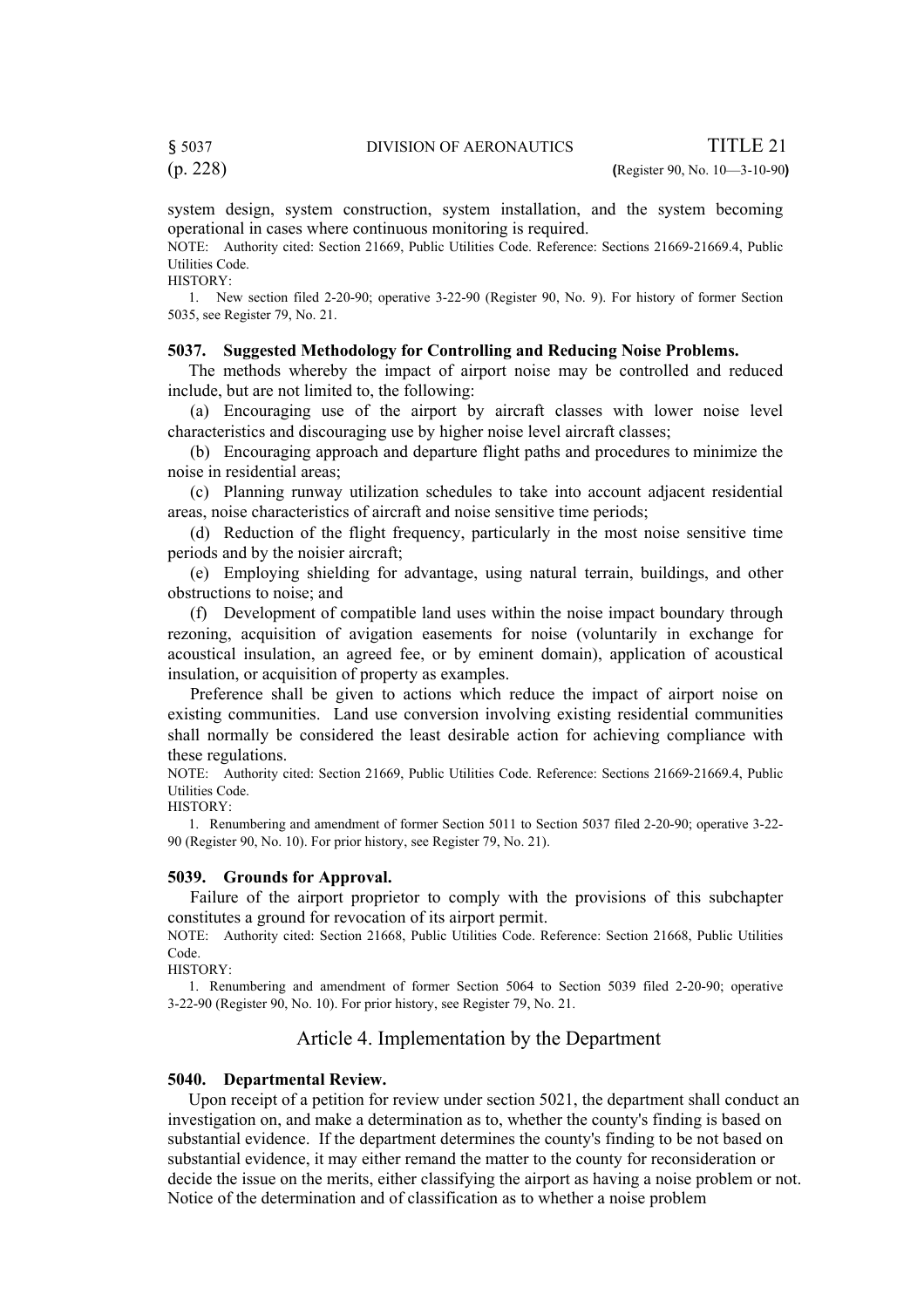(p. 228) **(**Register 90, No. 10—3-10-90**)**

system design, system construction, system installation, and the system becoming operational in cases where continuous monitoring is required.

NOTE: Authority cited: Section 21669, Public Utilities Code. Reference: Sections 21669-21669.4, Public Utilities Code.

HISTORY:

 1. New section filed 2-20-90; operative 3-22-90 (Register 90, No. 9). For history of former Section 5035, see Register 79, No. 21.

### **5037. Suggested Methodology for Controlling and Reducing Noise Problems.**

 The methods whereby the impact of airport noise may be controlled and reduced include, but are not limited to, the following:

(a) Encouraging use of the airport by aircraft classes with lower noise level characteristics and discouraging use by higher noise level aircraft classes;

(b) Encouraging approach and departure flight paths and procedures to minimize the noise in residential areas;

(c) Planning runway utilization schedules to take into account adjacent residential areas, noise characteristics of aircraft and noise sensitive time periods;

(d) Reduction of the flight frequency, particularly in the most noise sensitive time periods and by the noisier aircraft;

(e) Employing shielding for advantage, using natural terrain, buildings, and other obstructions to noise; and

(f) Development of compatible land uses within the noise impact boundary through rezoning, acquisition of avigation easements for noise (voluntarily in exchange for acoustical insulation, an agreed fee, or by eminent domain), application of acoustical insulation, or acquisition of property as examples.

Preference shall be given to actions which reduce the impact of airport noise on existing communities. Land use conversion involving existing residential communities shall normally be considered the least desirable action for achieving compliance with these regulations.

NOTE: Authority cited: Section 21669, Public Utilities Code. Reference: Sections 21669-21669.4, Public Utilities Code.

HISTORY:

 1. Renumbering and amendment of former Section 5011 to Section 5037 filed 2-20-90; operative 3-22- 90 (Register 90, No. 10). For prior history, see Register 79, No. 21).

#### **5039. Grounds for Approval.**

Failure of the airport proprietor to comply with the provisions of this subchapter constitutes a ground for revocation of its airport permit.

NOTE: Authority cited: Section 21668, Public Utilities Code. Reference: Section 21668, Public Utilities Code.

HISTORY:

 1. Renumbering and amendment of former Section 5064 to Section 5039 filed 2-20-90; operative 3-22-90 (Register 90, No. 10). For prior history, see Register 79, No. 21.

# Article 4. Implementation by the Department

#### **5040. Departmental Review.**

Upon receipt of a petition for review under section 5021, the department shall conduct an investigation on, and make a determination as to, whether the county's finding is based on substantial evidence. If the department determines the county's finding to be not based on substantial evidence, it may either remand the matter to the county for reconsideration or decide the issue on the merits, either classifying the airport as having a noise problem or not. Notice of the determination and of classification as to whether a noise problem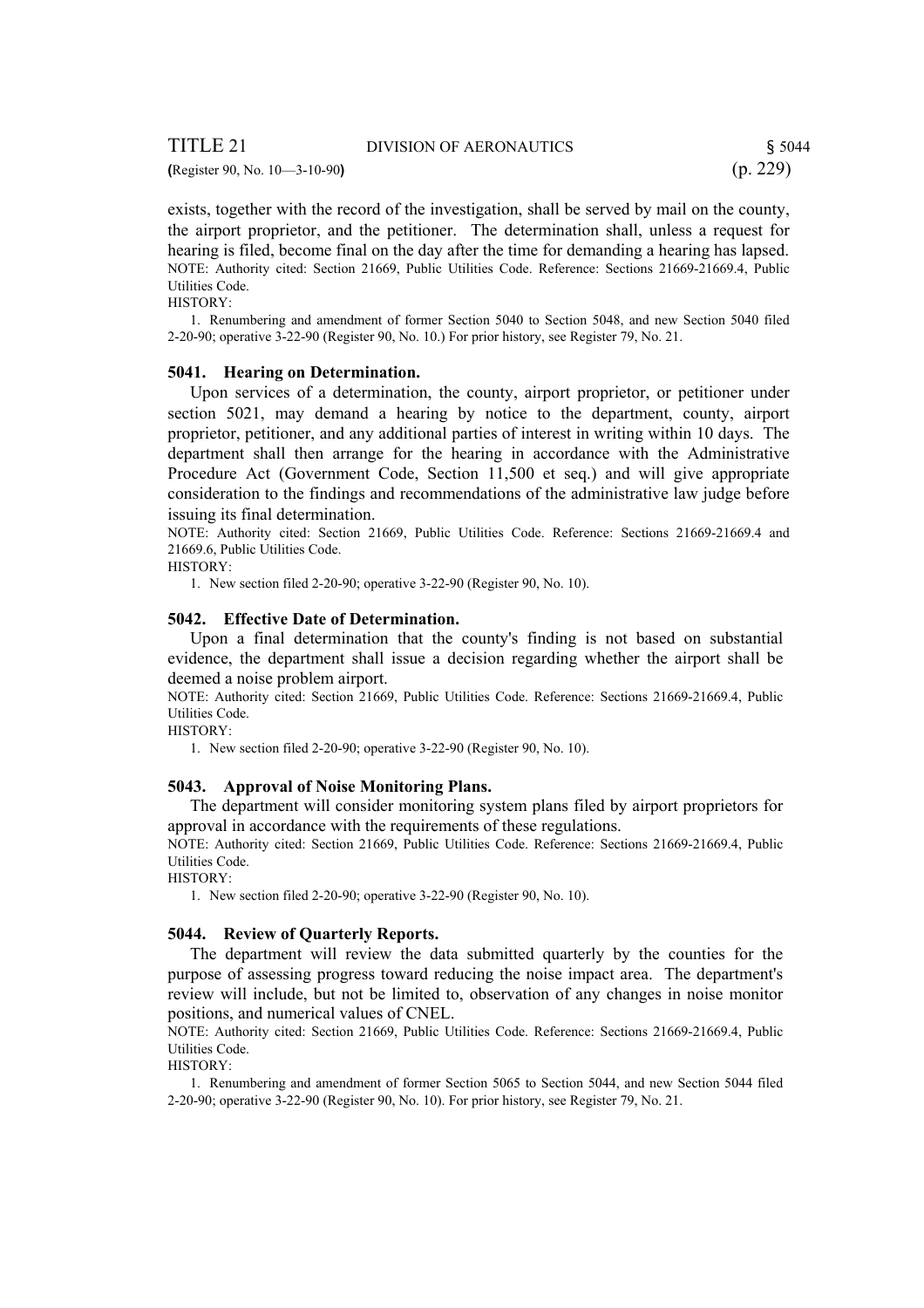# TITLE 21 DIVISION OF AERONAUTICS \$5044 **(**Register 90, No. 10—3-10-90**)** (p. 229)

exists, together with the record of the investigation, shall be served by mail on the county, the airport proprietor, and the petitioner. The determination shall, unless a request for hearing is filed, become final on the day after the time for demanding a hearing has lapsed. NOTE: Authority cited: Section 21669, Public Utilities Code. Reference: Sections 21669-21669.4, Public Utilities Code.

HISTORY:

1. Renumbering and amendment of former Section 5040 to Section 5048, and new Section 5040 filed 2-20-90; operative 3-22-90 (Register 90, No. 10.) For prior history, see Register 79, No. 21.

#### **5041. Hearing on Determination.**

Upon services of a determination, the county, airport proprietor, or petitioner under section 5021, may demand a hearing by notice to the department, county, airport proprietor, petitioner, and any additional parties of interest in writing within 10 days. The department shall then arrange for the hearing in accordance with the Administrative Procedure Act (Government Code, Section 11,500 et seq.) and will give appropriate consideration to the findings and recommendations of the administrative law judge before issuing its final determination.

NOTE: Authority cited: Section 21669, Public Utilities Code. Reference: Sections 21669-21669.4 and 21669.6, Public Utilities Code.

HISTORY:

1. New section filed 2-20-90; operative 3-22-90 (Register 90, No. 10).

#### **5042. Effective Date of Determination.**

Upon a final determination that the county's finding is not based on substantial evidence, the department shall issue a decision regarding whether the airport shall be deemed a noise problem airport.

NOTE: Authority cited: Section 21669, Public Utilities Code. Reference: Sections 21669-21669.4, Public Utilities Code.

HISTORY:

1. New section filed 2-20-90; operative 3-22-90 (Register 90, No. 10).

#### **5043. Approval of Noise Monitoring Plans.**

The department will consider monitoring system plans filed by airport proprietors for approval in accordance with the requirements of these regulations.

NOTE: Authority cited: Section 21669, Public Utilities Code. Reference: Sections 21669-21669.4, Public Utilities Code.

HISTORY:

1. New section filed 2-20-90; operative 3-22-90 (Register 90, No. 10).

#### **5044. Review of Quarterly Reports.**

The department will review the data submitted quarterly by the counties for the purpose of assessing progress toward reducing the noise impact area. The department's review will include, but not be limited to, observation of any changes in noise monitor positions, and numerical values of CNEL.

NOTE: Authority cited: Section 21669, Public Utilities Code. Reference: Sections 21669-21669.4, Public Utilities Code.

HISTORY:

1. Renumbering and amendment of former Section 5065 to Section 5044, and new Section 5044 filed 2-20-90; operative 3-22-90 (Register 90, No. 10). For prior history, see Register 79, No. 21.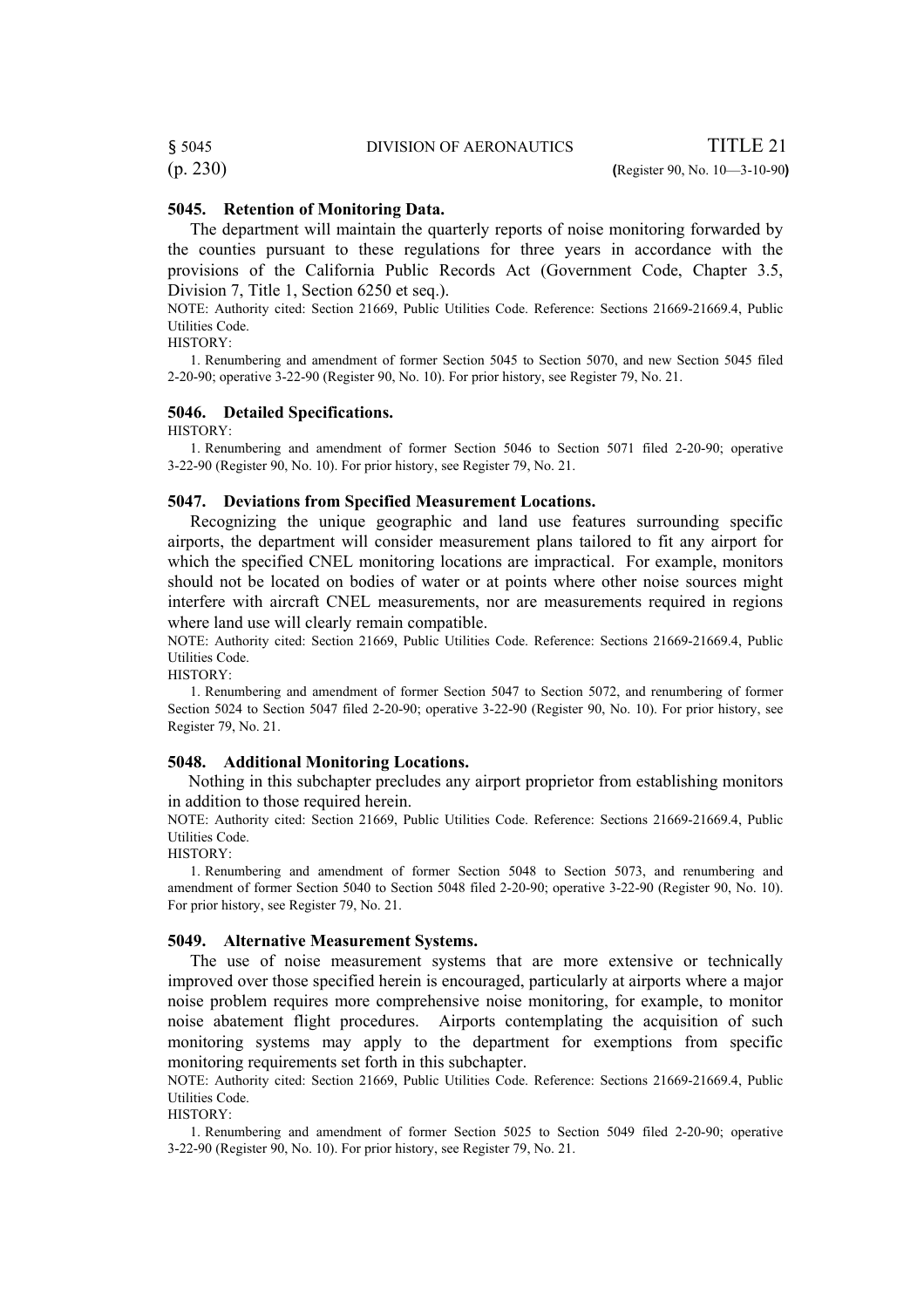# § 5045 DIVISION OF AERONAUTICS TITLE 21

### **5045. Retention of Monitoring Data.**

The department will maintain the quarterly reports of noise monitoring forwarded by the counties pursuant to these regulations for three years in accordance with the provisions of the California Public Records Act (Government Code, Chapter 3.5, Division 7, Title 1, Section 6250 et seq.).

NOTE: Authority cited: Section 21669, Public Utilities Code. Reference: Sections 21669-21669.4, Public Utilities Code.

HISTORY:

1. Renumbering and amendment of former Section 5045 to Section 5070, and new Section 5045 filed 2-20-90; operative 3-22-90 (Register 90, No. 10). For prior history, see Register 79, No. 21.

#### **5046. Detailed Specifications.**

HISTORY:

1. Renumbering and amendment of former Section 5046 to Section 5071 filed 2-20-90; operative 3-22-90 (Register 90, No. 10). For prior history, see Register 79, No. 21.

#### **5047. Deviations from Specified Measurement Locations.**

Recognizing the unique geographic and land use features surrounding specific airports, the department will consider measurement plans tailored to fit any airport for which the specified CNEL monitoring locations are impractical. For example, monitors should not be located on bodies of water or at points where other noise sources might interfere with aircraft CNEL measurements, nor are measurements required in regions where land use will clearly remain compatible.

NOTE: Authority cited: Section 21669, Public Utilities Code. Reference: Sections 21669-21669.4, Public Utilities Code.

HISTORY:

1. Renumbering and amendment of former Section 5047 to Section 5072, and renumbering of former Section 5024 to Section 5047 filed 2-20-90; operative 3-22-90 (Register 90, No. 10). For prior history, see Register 79, No. 21.

#### **5048. Additional Monitoring Locations.**

 Nothing in this subchapter precludes any airport proprietor from establishing monitors in addition to those required herein.

NOTE: Authority cited: Section 21669, Public Utilities Code. Reference: Sections 21669-21669.4, Public Utilities Code.

HISTORY:

1. Renumbering and amendment of former Section 5048 to Section 5073, and renumbering and amendment of former Section 5040 to Section 5048 filed 2-20-90; operative 3-22-90 (Register 90, No. 10). For prior history, see Register 79, No. 21.

#### **5049. Alternative Measurement Systems.**

The use of noise measurement systems that are more extensive or technically improved over those specified herein is encouraged, particularly at airports where a major noise problem requires more comprehensive noise monitoring, for example, to monitor noise abatement flight procedures. Airports contemplating the acquisition of such monitoring systems may apply to the department for exemptions from specific monitoring requirements set forth in this subchapter.

NOTE: Authority cited: Section 21669, Public Utilities Code. Reference: Sections 21669-21669.4, Public Utilities Code.

HISTORY:

1. Renumbering and amendment of former Section 5025 to Section 5049 filed 2-20-90; operative 3-22-90 (Register 90, No. 10). For prior history, see Register 79, No. 21.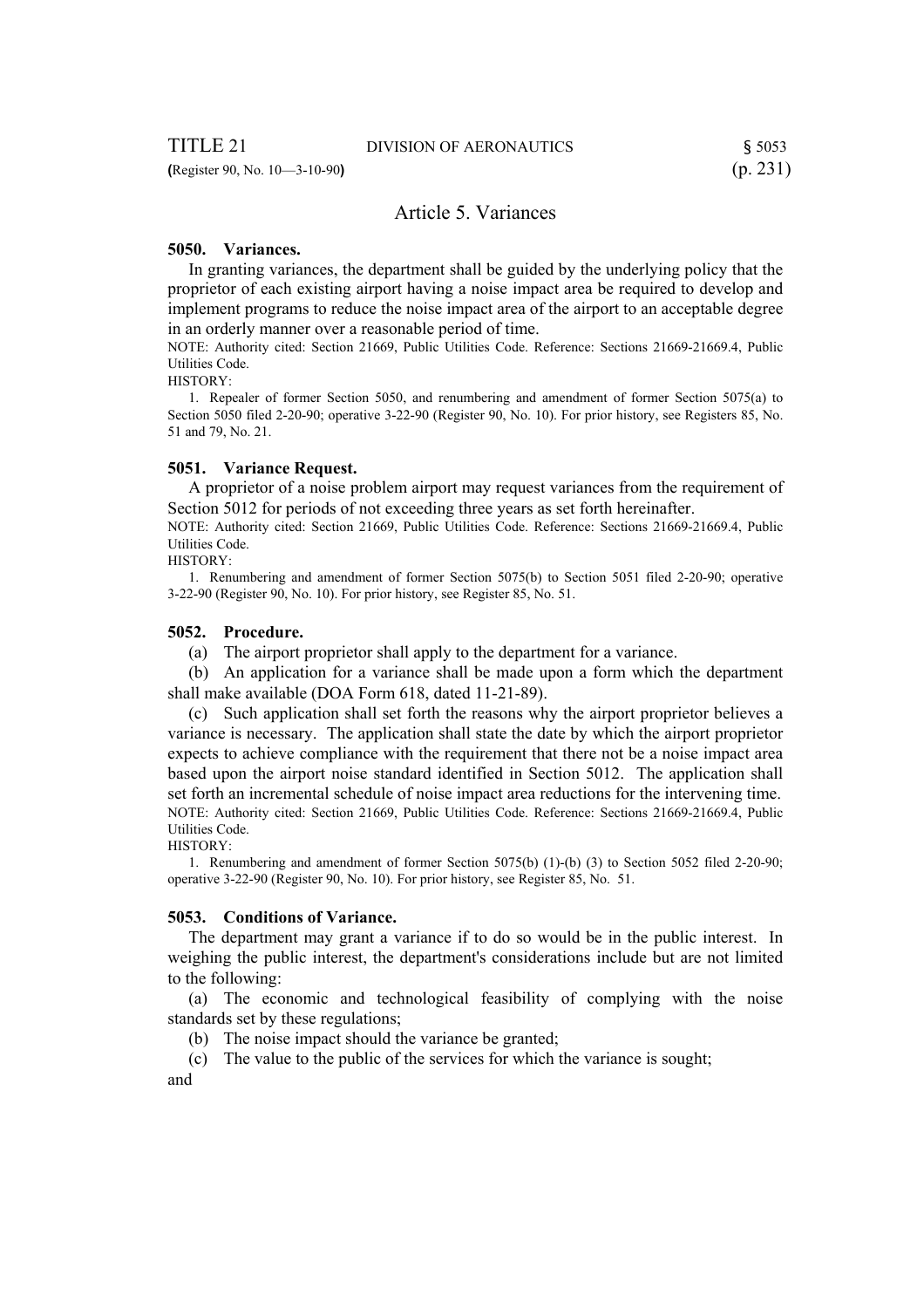# Article 5. Variances

#### **5050. Variances.**

 In granting variances, the department shall be guided by the underlying policy that the proprietor of each existing airport having a noise impact area be required to develop and implement programs to reduce the noise impact area of the airport to an acceptable degree in an orderly manner over a reasonable period of time.

NOTE: Authority cited: Section 21669, Public Utilities Code. Reference: Sections 21669-21669.4, Public Utilities Code.

HISTORY:

 1. Repealer of former Section 5050, and renumbering and amendment of former Section 5075(a) to Section 5050 filed 2-20-90; operative 3-22-90 (Register 90, No. 10). For prior history, see Registers 85, No. 51 and 79, No. 21.

#### **5051. Variance Request.**

 A proprietor of a noise problem airport may request variances from the requirement of Section 5012 for periods of not exceeding three years as set forth hereinafter.

NOTE: Authority cited: Section 21669, Public Utilities Code. Reference: Sections 21669-21669.4, Public Utilities Code.

HISTORY:

 1. Renumbering and amendment of former Section 5075(b) to Section 5051 filed 2-20-90; operative 3-22-90 (Register 90, No. 10). For prior history, see Register 85, No. 51.

#### **5052. Procedure.**

(a) The airport proprietor shall apply to the department for a variance.

 (b) An application for a variance shall be made upon a form which the department shall make available (DOA Form 618, dated 11-21-89).

 (c) Such application shall set forth the reasons why the airport proprietor believes a variance is necessary. The application shall state the date by which the airport proprietor expects to achieve compliance with the requirement that there not be a noise impact area based upon the airport noise standard identified in Section 5012. The application shall set forth an incremental schedule of noise impact area reductions for the intervening time. NOTE: Authority cited: Section 21669, Public Utilities Code. Reference: Sections 21669-21669.4, Public Utilities Code.

HISTORY:

 1. Renumbering and amendment of former Section 5075(b) (1)-(b) (3) to Section 5052 filed 2-20-90; operative 3-22-90 (Register 90, No. 10). For prior history, see Register 85, No. 51.

#### **5053. Conditions of Variance.**

 The department may grant a variance if to do so would be in the public interest. In weighing the public interest, the department's considerations include but are not limited to the following:

 (a) The economic and technological feasibility of complying with the noise standards set by these regulations;

(b) The noise impact should the variance be granted;

(c) The value to the public of the services for which the variance is sought;

and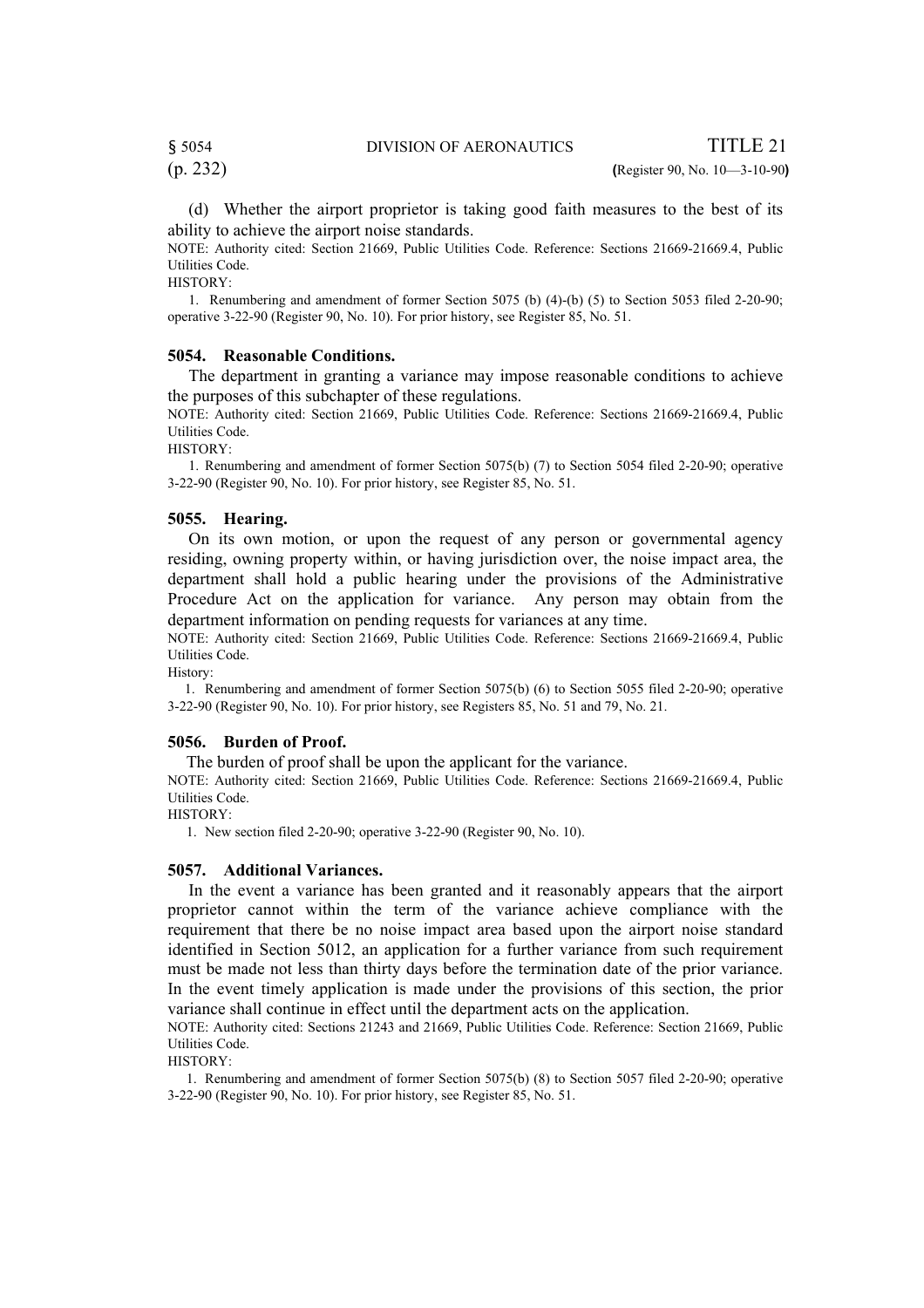(p. 232) **(**Register 90, No. 10—3-10-90**)**

 (d) Whether the airport proprietor is taking good faith measures to the best of its ability to achieve the airport noise standards.

NOTE: Authority cited: Section 21669, Public Utilities Code. Reference: Sections 21669-21669.4, Public Utilities Code.

HISTORY:

 1. Renumbering and amendment of former Section 5075 (b) (4)-(b) (5) to Section 5053 filed 2-20-90; operative 3-22-90 (Register 90, No. 10). For prior history, see Register 85, No. 51.

#### **5054. Reasonable Conditions.**

 The department in granting a variance may impose reasonable conditions to achieve the purposes of this subchapter of these regulations.

NOTE: Authority cited: Section 21669, Public Utilities Code. Reference: Sections 21669-21669.4, Public Utilities Code.

HISTORY:

 1. Renumbering and amendment of former Section 5075(b) (7) to Section 5054 filed 2-20-90; operative 3-22-90 (Register 90, No. 10). For prior history, see Register 85, No. 51.

#### **5055. Hearing.**

 On its own motion, or upon the request of any person or governmental agency residing, owning property within, or having jurisdiction over, the noise impact area, the department shall hold a public hearing under the provisions of the Administrative Procedure Act on the application for variance. Any person may obtain from the department information on pending requests for variances at any time.

NOTE: Authority cited: Section 21669, Public Utilities Code. Reference: Sections 21669-21669.4, Public Utilities Code.

History:

 1. Renumbering and amendment of former Section 5075(b) (6) to Section 5055 filed 2-20-90; operative 3-22-90 (Register 90, No. 10). For prior history, see Registers 85, No. 51 and 79, No. 21.

#### **5056. Burden of Proof.**

The burden of proof shall be upon the applicant for the variance.

NOTE: Authority cited: Section 21669, Public Utilities Code. Reference: Sections 21669-21669.4, Public Utilities Code.

HISTORY:

1. New section filed 2-20-90; operative 3-22-90 (Register 90, No. 10).

#### **5057. Additional Variances.**

 In the event a variance has been granted and it reasonably appears that the airport proprietor cannot within the term of the variance achieve compliance with the requirement that there be no noise impact area based upon the airport noise standard identified in Section 5012, an application for a further variance from such requirement must be made not less than thirty days before the termination date of the prior variance. In the event timely application is made under the provisions of this section, the prior variance shall continue in effect until the department acts on the application.

NOTE: Authority cited: Sections 21243 and 21669, Public Utilities Code. Reference: Section 21669, Public Utilities Code.

HISTORY:

 1. Renumbering and amendment of former Section 5075(b) (8) to Section 5057 filed 2-20-90; operative 3-22-90 (Register 90, No. 10). For prior history, see Register 85, No. 51.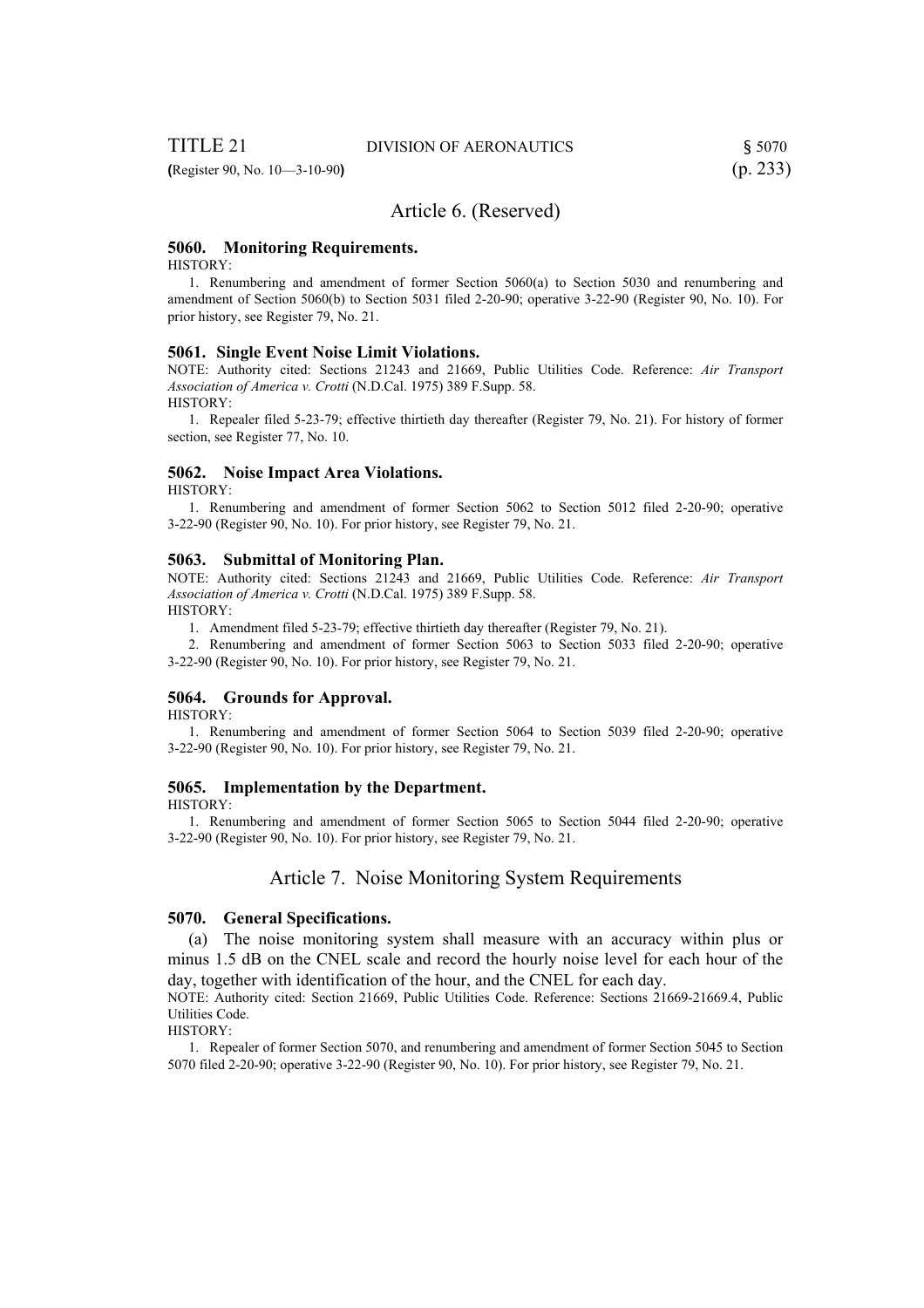**(**Register 90, No. 10—3-10-90**)** (p. 233)

# Article 6. (Reserved)

#### **5060. Monitoring Requirements.**

HISTORY:

 1. Renumbering and amendment of former Section 5060(a) to Section 5030 and renumbering and amendment of Section 5060(b) to Section 5031 filed 2-20-90; operative 3-22-90 (Register 90, No. 10). For prior history, see Register 79, No. 21.

#### **5061. Single Event Noise Limit Violations.**

NOTE: Authority cited: Sections 21243 and 21669, Public Utilities Code. Reference: *Air Transport Association of America v. Crotti* (N.D.Cal. 1975) 389 F.Supp. 58. HISTORY:

 1. Repealer filed 5-23-79; effective thirtieth day thereafter (Register 79, No. 21). For history of former section, see Register 77, No. 10.

#### **5062. Noise Impact Area Violations.**

HISTORY:

 1. Renumbering and amendment of former Section 5062 to Section 5012 filed 2-20-90; operative 3-22-90 (Register 90, No. 10). For prior history, see Register 79, No. 21.

#### **5063. Submittal of Monitoring Plan.**

NOTE: Authority cited: Sections 21243 and 21669, Public Utilities Code. Reference: *Air Transport Association of America v. Crotti* (N.D.Cal. 1975) 389 F.Supp. 58.

HISTORY:

1. Amendment filed 5-23-79; effective thirtieth day thereafter (Register 79, No. 21).

 2. Renumbering and amendment of former Section 5063 to Section 5033 filed 2-20-90; operative 3-22-90 (Register 90, No. 10). For prior history, see Register 79, No. 21.

#### **5064. Grounds for Approval.**

HISTORY:

 1. Renumbering and amendment of former Section 5064 to Section 5039 filed 2-20-90; operative 3-22-90 (Register 90, No. 10). For prior history, see Register 79, No. 21.

#### **5065. Implementation by the Department.**

HISTORY:

 1. Renumbering and amendment of former Section 5065 to Section 5044 filed 2-20-90; operative 3-22-90 (Register 90, No. 10). For prior history, see Register 79, No. 21.

# Article 7. Noise Monitoring System Requirements

#### **5070. General Specifications.**

 (a) The noise monitoring system shall measure with an accuracy within plus or minus 1.5 dB on the CNEL scale and record the hourly noise level for each hour of the day, together with identification of the hour, and the CNEL for each day.

NOTE: Authority cited: Section 21669, Public Utilities Code. Reference: Sections 21669-21669.4, Public Utilities Code.

HISTORY:

 1. Repealer of former Section 5070, and renumbering and amendment of former Section 5045 to Section 5070 filed 2-20-90; operative 3-22-90 (Register 90, No. 10). For prior history, see Register 79, No. 21.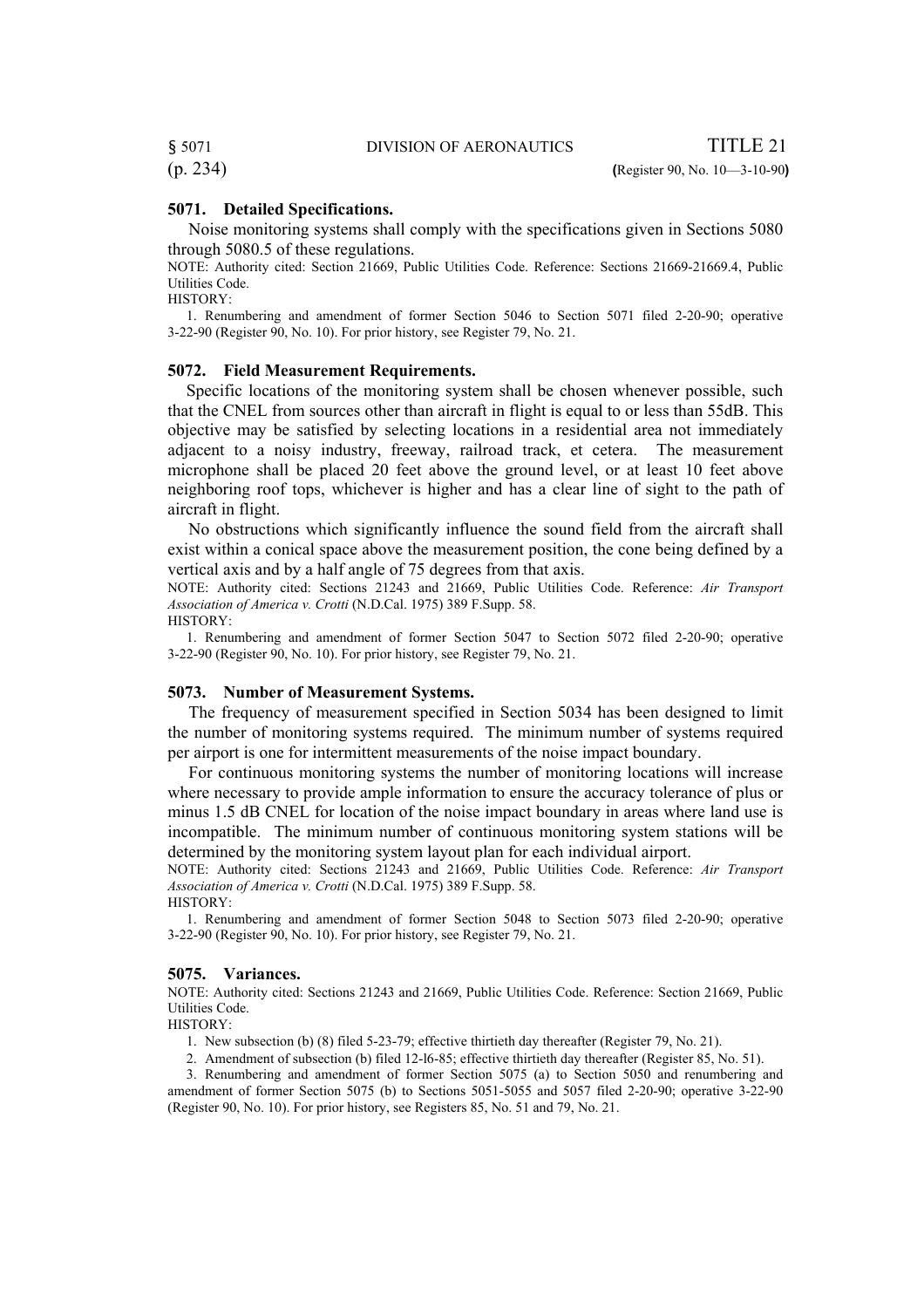§ 5071 DIVISION OF AERONAUTICS TITLE 21

#### **5071. Detailed Specifications.**

 Noise monitoring systems shall comply with the specifications given in Sections 5080 through 5080.5 of these regulations.

NOTE: Authority cited: Section 21669, Public Utilities Code. Reference: Sections 21669-21669.4, Public Utilities Code.

HISTORY:

 1. Renumbering and amendment of former Section 5046 to Section 5071 filed 2-20-90; operative 3-22-90 (Register 90, No. 10). For prior history, see Register 79, No. 21.

#### **5072. Field Measurement Requirements.**

 Specific locations of the monitoring system shall be chosen whenever possible, such that the CNEL from sources other than aircraft in flight is equal to or less than 55dB. This objective may be satisfied by selecting locations in a residential area not immediately adjacent to a noisy industry, freeway, railroad track, et cetera. The measurement microphone shall be placed 20 feet above the ground level, or at least 10 feet above neighboring roof tops, whichever is higher and has a clear line of sight to the path of aircraft in flight.

 No obstructions which significantly influence the sound field from the aircraft shall exist within a conical space above the measurement position, the cone being defined by a vertical axis and by a half angle of 75 degrees from that axis.

NOTE: Authority cited: Sections 21243 and 21669, Public Utilities Code. Reference: *Air Transport Association of America v. Crotti* (N.D.Cal. 1975) 389 F.Supp. 58. HISTORY:

 1. Renumbering and amendment of former Section 5047 to Section 5072 filed 2-20-90; operative 3-22-90 (Register 90, No. 10). For prior history, see Register 79, No. 21.

### **5073. Number of Measurement Systems.**

 The frequency of measurement specified in Section 5034 has been designed to limit the number of monitoring systems required. The minimum number of systems required per airport is one for intermittent measurements of the noise impact boundary.

 For continuous monitoring systems the number of monitoring locations will increase where necessary to provide ample information to ensure the accuracy tolerance of plus or minus 1.5 dB CNEL for location of the noise impact boundary in areas where land use is incompatible. The minimum number of continuous monitoring system stations will be determined by the monitoring system layout plan for each individual airport.

NOTE: Authority cited: Sections 21243 and 21669, Public Utilities Code. Reference: *Air Transport Association of America v. Crotti* (N.D.Cal. 1975) 389 F.Supp. 58. HISTORY:

 1. Renumbering and amendment of former Section 5048 to Section 5073 filed 2-20-90; operative 3-22-90 (Register 90, No. 10). For prior history, see Register 79, No. 21.

#### **5075. Variances.**

NOTE: Authority cited: Sections 21243 and 21669, Public Utilities Code. Reference: Section 21669, Public Utilities Code.

HISTORY:

1. New subsection (b) (8) filed 5-23-79; effective thirtieth day thereafter (Register 79, No. 21).

2. Amendment of subsection (b) filed 12-l6-85; effective thirtieth day thereafter (Register 85, No. 51).

 3. Renumbering and amendment of former Section 5075 (a) to Section 5050 and renumbering and amendment of former Section 5075 (b) to Sections 5051-5055 and 5057 filed 2-20-90; operative 3-22-90 (Register 90, No. 10). For prior history, see Registers 85, No. 51 and 79, No. 21.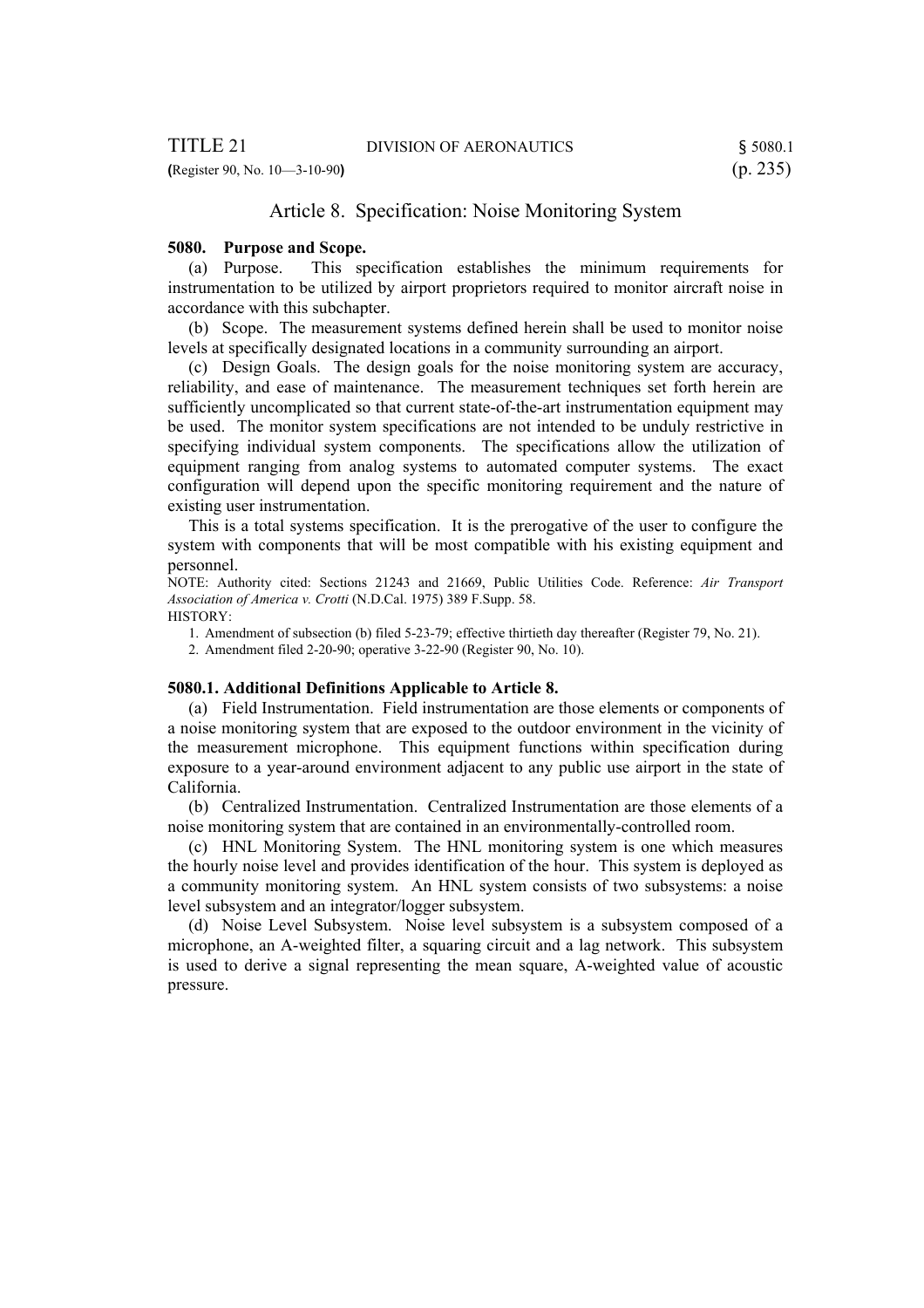# Article 8. Specification: Noise Monitoring System

#### **5080. Purpose and Scope.**

 (a) Purpose. This specification establishes the minimum requirements for instrumentation to be utilized by airport proprietors required to monitor aircraft noise in accordance with this subchapter.

 (b) Scope. The measurement systems defined herein shall be used to monitor noise levels at specifically designated locations in a community surrounding an airport.

 (c) Design Goals. The design goals for the noise monitoring system are accuracy, reliability, and ease of maintenance. The measurement techniques set forth herein are sufficiently uncomplicated so that current state-of-the-art instrumentation equipment may be used. The monitor system specifications are not intended to be unduly restrictive in specifying individual system components. The specifications allow the utilization of equipment ranging from analog systems to automated computer systems. The exact configuration will depend upon the specific monitoring requirement and the nature of existing user instrumentation.

 This is a total systems specification. It is the prerogative of the user to configure the system with components that will be most compatible with his existing equipment and personnel.

NOTE: Authority cited: Sections 21243 and 21669, Public Utilities Code. Reference: *Air Transport Association of America v. Crotti* (N.D.Cal. 1975) 389 F.Supp. 58.

HISTORY:

1. Amendment of subsection (b) filed 5-23-79; effective thirtieth day thereafter (Register 79, No. 21).

2. Amendment filed 2-20-90; operative 3-22-90 (Register 90, No. 10).

#### **5080.1. Additional Definitions Applicable to Article 8.**

 (a) Field Instrumentation. Field instrumentation are those elements or components of a noise monitoring system that are exposed to the outdoor environment in the vicinity of the measurement microphone. This equipment functions within specification during exposure to a year-around environment adjacent to any public use airport in the state of California.

 (b) Centralized Instrumentation. Centralized Instrumentation are those elements of a noise monitoring system that are contained in an environmentally-controlled room.

 (c) HNL Monitoring System. The HNL monitoring system is one which measures the hourly noise level and provides identification of the hour. This system is deployed as a community monitoring system. An HNL system consists of two subsystems: a noise level subsystem and an integrator/logger subsystem.

 (d) Noise Level Subsystem. Noise level subsystem is a subsystem composed of a microphone, an A-weighted filter, a squaring circuit and a lag network. This subsystem is used to derive a signal representing the mean square, A-weighted value of acoustic pressure.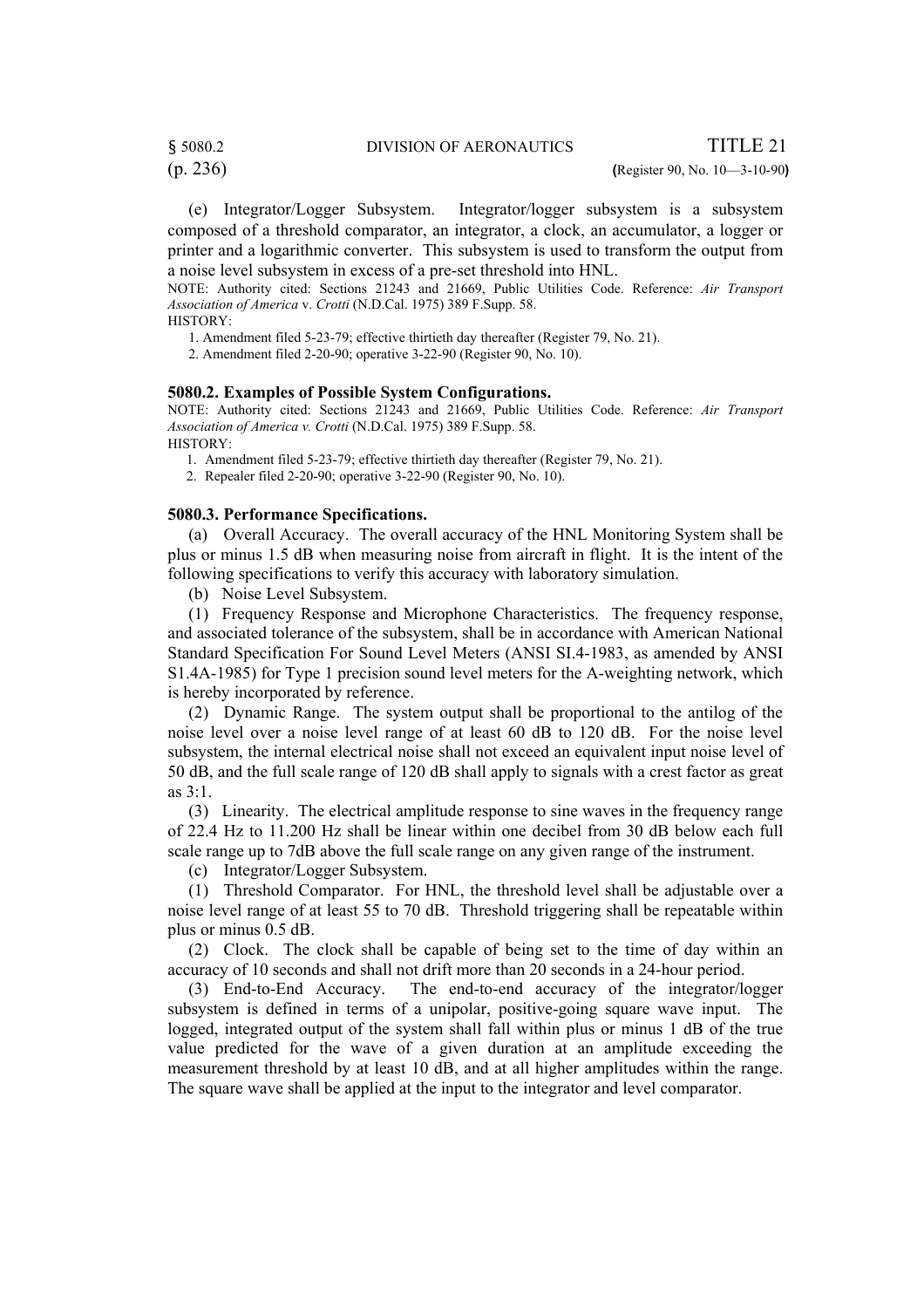(p. 236) **(**Register 90, No. 10—3-10-90**)**

(e) Integrator/Logger Subsystem. Integrator/logger subsystem is a subsystem composed of a threshold comparator, an integrator, a clock, an accumulator, a logger or printer and a logarithmic converter. This subsystem is used to transform the output from a noise level subsystem in excess of a pre-set threshold into HNL.

NOTE: Authority cited: Sections 21243 and 21669, Public Utilities Code. Reference: *Air Transport Association of America* v. *Crotti* (N.D.Cal. 1975) 389 F.Supp. 58.

HISTORY:

1. Amendment filed 5-23-79; effective thirtieth day thereafter (Register 79, No. 21).

2. Amendment filed 2-20-90; operative 3-22-90 (Register 90, No. 10).

#### **5080.2. Examples of Possible System Configurations.**

NOTE: Authority cited: Sections 21243 and 21669, Public Utilities Code. Reference: *Air Transport Association of America v. Crotti* (N.D.Cal. 1975) 389 F.Supp. 58.

HISTORY:

1. Amendment filed 5-23-79; effective thirtieth day thereafter (Register 79, No. 21).

2. Repealer filed 2-20-90; operative 3-22-90 (Register 90, No. 10).

#### **5080.3. Performance Specifications.**

 (a) Overall Accuracy. The overall accuracy of the HNL Monitoring System shall be plus or minus 1.5 dB when measuring noise from aircraft in flight. It is the intent of the following specifications to verify this accuracy with laboratory simulation.

(b) Noise Level Subsystem.

 (1) Frequency Response and Microphone Characteristics. The frequency response, and associated tolerance of the subsystem, shall be in accordance with American National Standard Specification For Sound Level Meters (ANSI SI.4-1983, as amended by ANSI S1.4A-1985) for Type 1 precision sound level meters for the A-weighting network, which is hereby incorporated by reference.

 (2) Dynamic Range. The system output shall be proportional to the antilog of the noise level over a noise level range of at least 60 dB to 120 dB. For the noise level subsystem, the internal electrical noise shall not exceed an equivalent input noise level of 50 dB, and the full scale range of 120 dB shall apply to signals with a crest factor as great as 3:1.

 (3) Linearity. The electrical amplitude response to sine waves in the frequency range of 22.4 Hz to 11.200 Hz shall be linear within one decibel from 30 dB below each full scale range up to 7dB above the full scale range on any given range of the instrument.

(c) Integrator/Logger Subsystem.

 (1) Threshold Comparator. For HNL, the threshold level shall be adjustable over a noise level range of at least 55 to 70 dB. Threshold triggering shall be repeatable within plus or minus 0.5 dB.

 (2) Clock. The clock shall be capable of being set to the time of day within an accuracy of 10 seconds and shall not drift more than 20 seconds in a 24-hour period.

 (3) End-to-End Accuracy. The end-to-end accuracy of the integrator/logger subsystem is defined in terms of a unipolar, positive-going square wave input. The logged, integrated output of the system shall fall within plus or minus 1 dB of the true value predicted for the wave of a given duration at an amplitude exceeding the measurement threshold by at least 10 dB, and at all higher amplitudes within the range. The square wave shall be applied at the input to the integrator and level comparator.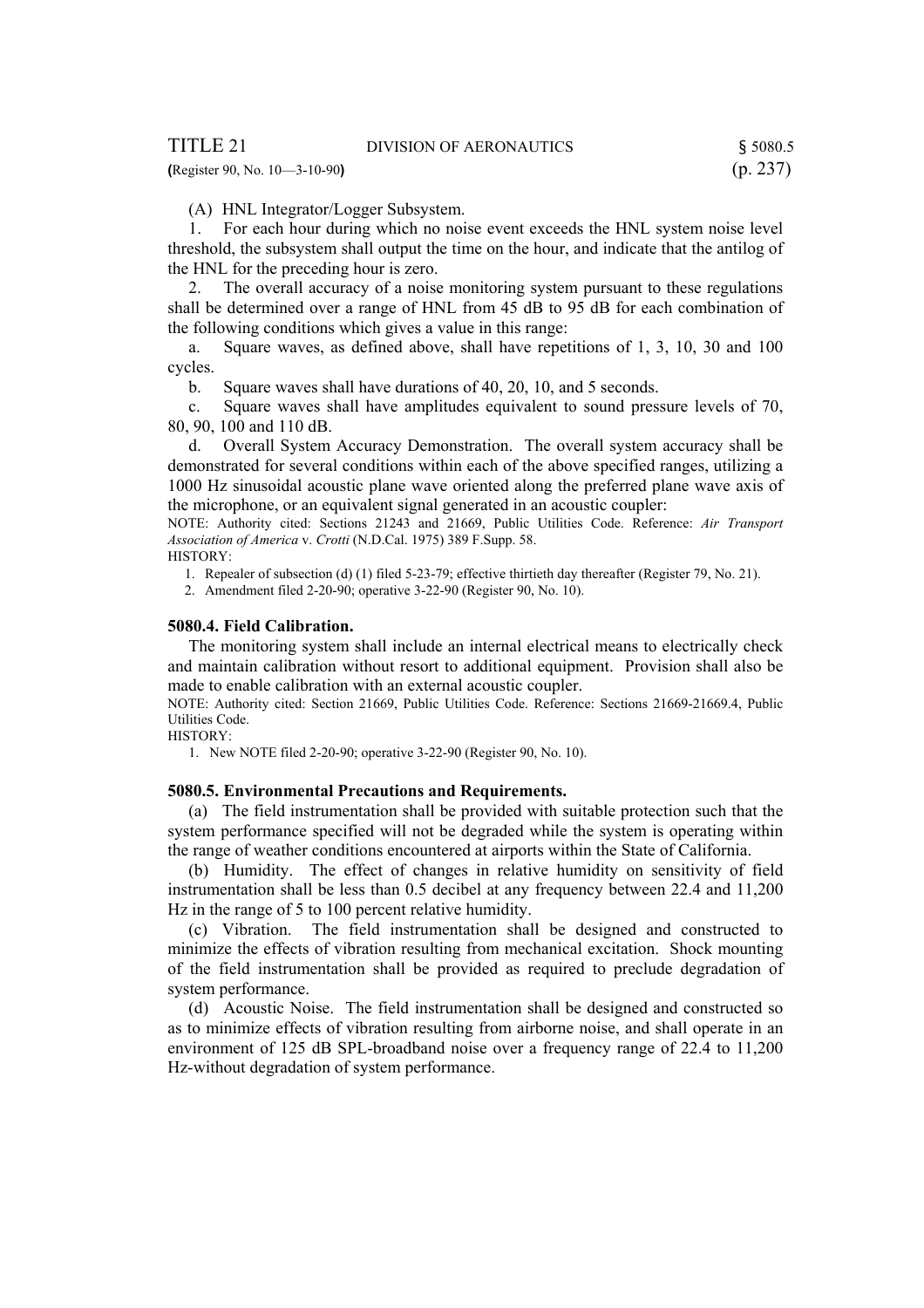**(**Register 90, No. 10—3-10-90**)** (p. 237)

(A) HNL Integrator/Logger Subsystem.

 1. For each hour during which no noise event exceeds the HNL system noise level threshold, the subsystem shall output the time on the hour, and indicate that the antilog of the HNL for the preceding hour is zero.

 2. The overall accuracy of a noise monitoring system pursuant to these regulations shall be determined over a range of HNL from 45 dB to 95 dB for each combination of the following conditions which gives a value in this range:

 a. Square waves, as defined above, shall have repetitions of 1, 3, 10, 30 and 100 cycles.

b. Square waves shall have durations of 40, 20, 10, and 5 seconds.

 c. Square waves shall have amplitudes equivalent to sound pressure levels of 70, 80, 90, 100 and 110 dB.

 d. Overall System Accuracy Demonstration. The overall system accuracy shall be demonstrated for several conditions within each of the above specified ranges, utilizing a 1000 Hz sinusoidal acoustic plane wave oriented along the preferred plane wave axis of the microphone, or an equivalent signal generated in an acoustic coupler:

NOTE: Authority cited: Sections 21243 and 21669, Public Utilities Code. Reference: *Air Transport Association of America* v. *Crotti* (N.D.Cal. 1975) 389 F.Supp. 58.

HISTORY:

1. Repealer of subsection (d) (1) filed 5-23-79; effective thirtieth day thereafter (Register 79, No. 21).

2. Amendment filed 2-20-90; operative 3-22-90 (Register 90, No. 10).

#### **5080.4. Field Calibration.**

 The monitoring system shall include an internal electrical means to electrically check and maintain calibration without resort to additional equipment. Provision shall also be made to enable calibration with an external acoustic coupler.

NOTE: Authority cited: Section 21669, Public Utilities Code. Reference: Sections 21669-21669.4, Public Utilities Code.

HISTORY:

1. New NOTE filed 2-20-90; operative 3-22-90 (Register 90, No. 10).

#### **5080.5. Environmental Precautions and Requirements.**

 (a) The field instrumentation shall be provided with suitable protection such that the system performance specified will not be degraded while the system is operating within the range of weather conditions encountered at airports within the State of California.

 (b) Humidity. The effect of changes in relative humidity on sensitivity of field instrumentation shall be less than 0.5 decibel at any frequency between 22.4 and 11,200 Hz in the range of 5 to 100 percent relative humidity.

 (c) Vibration. The field instrumentation shall be designed and constructed to minimize the effects of vibration resulting from mechanical excitation. Shock mounting of the field instrumentation shall be provided as required to preclude degradation of system performance.

 (d) Acoustic Noise. The field instrumentation shall be designed and constructed so as to minimize effects of vibration resulting from airborne noise, and shall operate in an environment of 125 dB SPL-broadband noise over a frequency range of 22.4 to 11,200 Hz-without degradation of system performance.